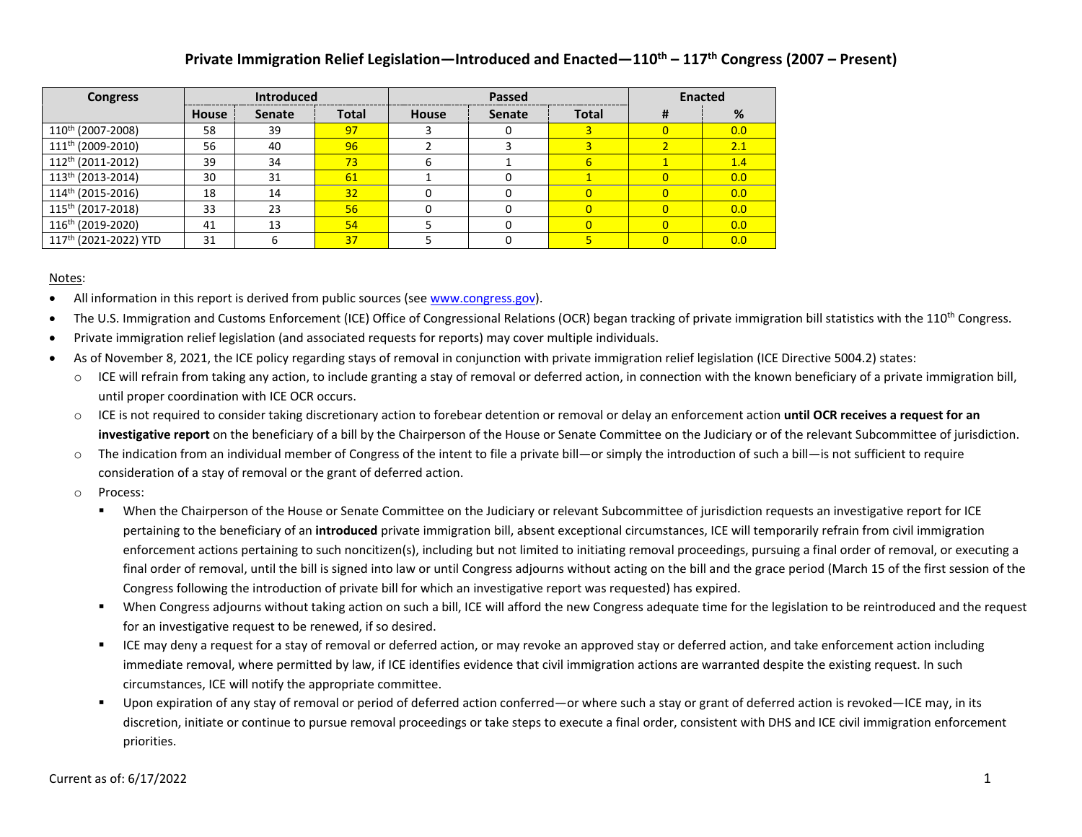| <b>Congress</b>                   | <b>Introduced</b> |               |              |              | Passed        | <b>Enacted</b> |   |     |  |
|-----------------------------------|-------------------|---------------|--------------|--------------|---------------|----------------|---|-----|--|
|                                   | House             | <b>Senate</b> | <b>Total</b> | <b>House</b> | <b>Senate</b> | <b>Total</b>   | # | %   |  |
| 110 <sup>th</sup> (2007-2008)     | 58                | 39            | 97           |              |               |                |   | 0.0 |  |
| 111 <sup>th</sup> (2009-2010)     | 56                | 40            | 96           |              |               |                |   | 2.1 |  |
| 112 <sup>th</sup> (2011-2012)     | 39                | 34            | 73           | h            |               | 6              |   | 1.4 |  |
| 113 <sup>th</sup> (2013-2014)     | 30                | 31            | 61           |              |               |                |   | 0.0 |  |
| 114 <sup>th</sup> (2015-2016)     | 18                | 14            | 32           |              |               |                |   | 0.0 |  |
| 115 <sup>th</sup> (2017-2018)     | 33                | 23            | 56           |              |               |                |   | 0.0 |  |
| 116 <sup>th</sup> (2019-2020)     | 41                | 13            | 54           |              |               |                |   | 0.0 |  |
| 117 <sup>th</sup> (2021-2022) YTD | 31                |               | 37           |              |               |                |   | 0.0 |  |

#### Notes:

- All information in this report is derived from public sources (see [www.congress.gov\)](http://www.congress.gov/).
- The U.S. Immigration and Customs Enforcement (ICE) Office of Congressional Relations (OCR) began tracking of private immigration bill statistics with the 110<sup>th</sup> Congress.
- Private immigration relief legislation (and associated requests for reports) may cover multiple individuals.
- As of November 8, 2021, the ICE policy regarding stays of removal in conjunction with private immigration relief legislation (ICE Directive 5004.2) states:
	- o ICE will refrain from taking any action, to include granting a stay of removal or deferred action, in connection with the known beneficiary of a private immigration bill, until proper coordination with ICE OCR occurs.
	- o ICE is not required to consider taking discretionary action to forebear detention or removal or delay an enforcement action **until OCR receives a request for an investigative report** on the beneficiary of a bill by the Chairperson of the House or Senate Committee on the Judiciary or of the relevant Subcommittee of jurisdiction.
	- o The indication from an individual member of Congress of the intent to file a private bill—or simply the introduction of such a bill—is not sufficient to require consideration of a stay of removal or the grant of deferred action.
	- o Process:
		- When the Chairperson of the House or Senate Committee on the Judiciary or relevant Subcommittee of jurisdiction requests an investigative report for ICE pertaining to the beneficiary of an **introduced** private immigration bill, absent exceptional circumstances, ICE will temporarily refrain from civil immigration enforcement actions pertaining to such noncitizen(s), including but not limited to initiating removal proceedings, pursuing a final order of removal, or executing a final order of removal, until the bill is signed into law or until Congress adjourns without acting on the bill and the grace period (March 15 of the first session of the Congress following the introduction of private bill for which an investigative report was requested) has expired.
		- When Congress adjourns without taking action on such a bill, ICE will afford the new Congress adequate time for the legislation to be reintroduced and the request for an investigative request to be renewed, if so desired.
		- ICE may deny a request for a stay of removal or deferred action, or may revoke an approved stay or deferred action, and take enforcement action including immediate removal, where permitted by law, if ICE identifies evidence that civil immigration actions are warranted despite the existing request. In such circumstances, ICE will notify the appropriate committee.
		- Upon expiration of any stay of removal or period of deferred action conferred—or where such a stay or grant of deferred action is revoked—ICE may, in its discretion, initiate or continue to pursue removal proceedings or take steps to execute a final order, consistent with DHS and ICE civil immigration enforcement priorities.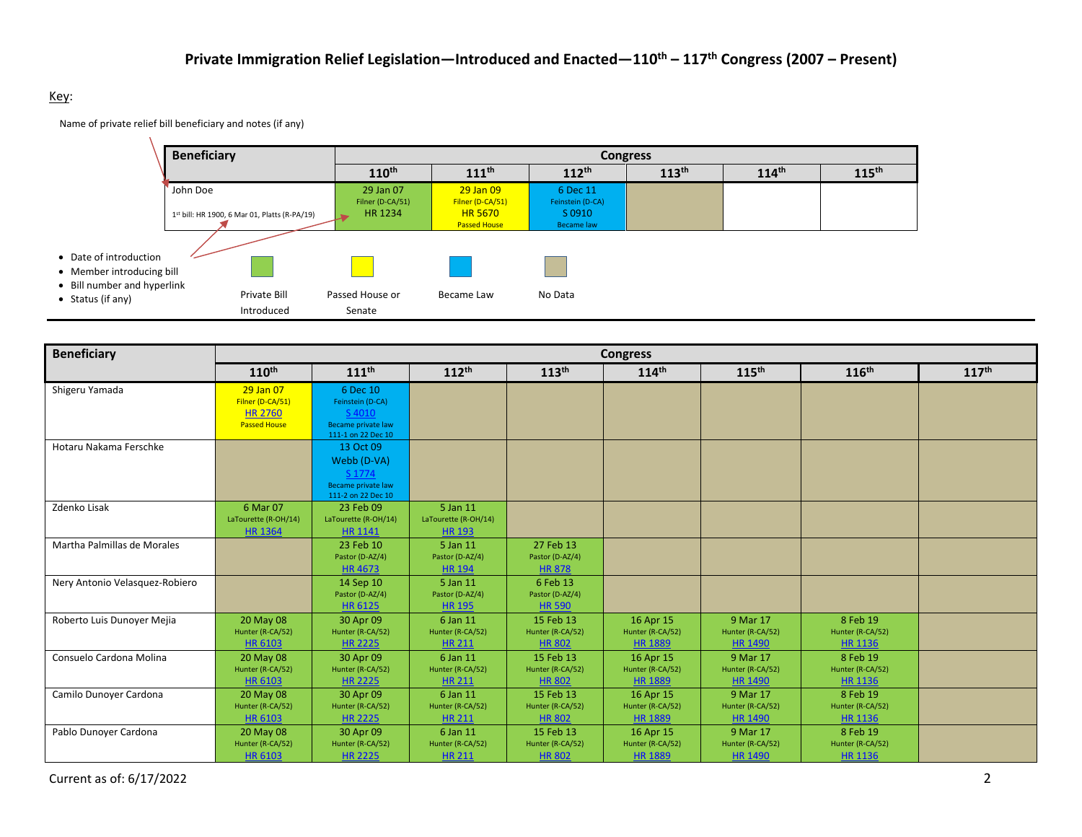#### Key:

Name of private relief bill beneficiary and notes (if any)



| <b>Beneficiary</b>             |                                       |                                 |                              |                               | <b>Congress</b>               |                              |                              |                   |
|--------------------------------|---------------------------------------|---------------------------------|------------------------------|-------------------------------|-------------------------------|------------------------------|------------------------------|-------------------|
|                                | $110^{th}$                            | $111$ <sup>th</sup>             | $112^{th}$                   | 113 <sup>th</sup>             | $114^{\text{th}}$             | 115 <sup>th</sup>            | 116 <sup>th</sup>            | 117 <sup>th</sup> |
| Shigeru Yamada                 | 29 Jan 07                             | 6 Dec 10                        |                              |                               |                               |                              |                              |                   |
|                                | Filner (D-CA/51)                      | Feinstein (D-CA)                |                              |                               |                               |                              |                              |                   |
|                                | <b>HR 2760</b><br><b>Passed House</b> | S 4010<br>Became private law    |                              |                               |                               |                              |                              |                   |
|                                |                                       | 111-1 on 22 Dec 10              |                              |                               |                               |                              |                              |                   |
| Hotaru Nakama Ferschke         |                                       | 13 Oct 09                       |                              |                               |                               |                              |                              |                   |
|                                |                                       | Webb (D-VA)                     |                              |                               |                               |                              |                              |                   |
|                                |                                       | S 1774                          |                              |                               |                               |                              |                              |                   |
|                                |                                       | Became private law              |                              |                               |                               |                              |                              |                   |
| Zdenko Lisak                   | 6 Mar 07                              | 111-2 on 22 Dec 10<br>23 Feb 09 | 5 Jan 11                     |                               |                               |                              |                              |                   |
|                                | LaTourette (R-OH/14)                  | LaTourette (R-OH/14)            | LaTourette (R-OH/14)         |                               |                               |                              |                              |                   |
|                                | <b>HR 1364</b>                        | <b>HR 1141</b>                  | <b>HR 193</b>                |                               |                               |                              |                              |                   |
| Martha Palmillas de Morales    |                                       | 23 Feb 10                       | 5 Jan 11                     | 27 Feb 13                     |                               |                              |                              |                   |
|                                |                                       | Pastor (D-AZ/4)                 | Pastor (D-AZ/4)              | Pastor (D-AZ/4)               |                               |                              |                              |                   |
|                                |                                       | <b>HR4673</b>                   | <b>HR 194</b>                | <b>HR 878</b>                 |                               |                              |                              |                   |
| Nery Antonio Velasquez-Robiero |                                       | 14 Sep 10                       | 5 Jan 11                     | 6 Feb 13                      |                               |                              |                              |                   |
|                                |                                       | Pastor (D-AZ/4)                 | Pastor (D-AZ/4)              | Pastor (D-AZ/4)               |                               |                              |                              |                   |
|                                |                                       | HR 6125                         | <b>HR 195</b>                | <b>HR 590</b>                 |                               |                              |                              |                   |
| Roberto Luis Dunoyer Mejia     | 20 May 08<br>Hunter (R-CA/52)         | 30 Apr 09<br>Hunter (R-CA/52)   | 6 Jan 11<br>Hunter (R-CA/52) | 15 Feb 13<br>Hunter (R-CA/52) | 16 Apr 15<br>Hunter (R-CA/52) | 9 Mar 17<br>Hunter (R-CA/52) | 8 Feb 19<br>Hunter (R-CA/52) |                   |
|                                | HR 6103                               | <b>HR 2225</b>                  | <b>HR 211</b>                | <b>HR 802</b>                 | <b>HR 1889</b>                | <b>HR 1490</b>               | HR 1136                      |                   |
| Consuelo Cardona Molina        | 20 May 08                             | 30 Apr 09                       | 6 Jan 11                     | 15 Feb 13                     | 16 Apr 15                     | 9 Mar 17                     | 8 Feb 19                     |                   |
|                                | Hunter (R-CA/52)                      | Hunter (R-CA/52)                | Hunter (R-CA/52)             | Hunter (R-CA/52)              | Hunter (R-CA/52)              | Hunter (R-CA/52)             | Hunter (R-CA/52)             |                   |
|                                | HR 6103                               | <b>HR 2225</b>                  | <b>HR 211</b>                | <b>HR 802</b>                 | <b>HR 1889</b>                | <b>HR 1490</b>               | <b>HR 1136</b>               |                   |
| Camilo Dunoyer Cardona         | 20 May 08                             | 30 Apr 09                       | 6 Jan 11                     | 15 Feb 13                     | 16 Apr 15                     | 9 Mar 17                     | 8 Feb 19                     |                   |
|                                | Hunter (R-CA/52)                      | Hunter (R-CA/52)                | Hunter (R-CA/52)             | Hunter (R-CA/52)              | Hunter (R-CA/52)              | Hunter (R-CA/52)             | Hunter (R-CA/52)             |                   |
|                                | HR 6103                               | <b>HR 2225</b>                  | <b>HR 211</b>                | <b>HR 802</b>                 | <b>HR 1889</b>                | <b>HR 1490</b>               | HR 1136                      |                   |
| Pablo Dunoyer Cardona          | 20 May 08                             | 30 Apr 09                       | 6 Jan 11                     | 15 Feb 13                     | 16 Apr 15                     | 9 Mar 17                     | 8 Feb 19                     |                   |
|                                | Hunter (R-CA/52)                      | Hunter (R-CA/52)                | Hunter (R-CA/52)             | Hunter (R-CA/52)              | Hunter (R-CA/52)              | Hunter (R-CA/52)             | Hunter (R-CA/52)             |                   |
|                                | HR 6103                               | <b>HR 2225</b>                  | <b>HR 211</b>                | <b>HR 802</b>                 | <b>HR 1889</b>                | <b>HR 1490</b>               | <b>HR 1136</b>               |                   |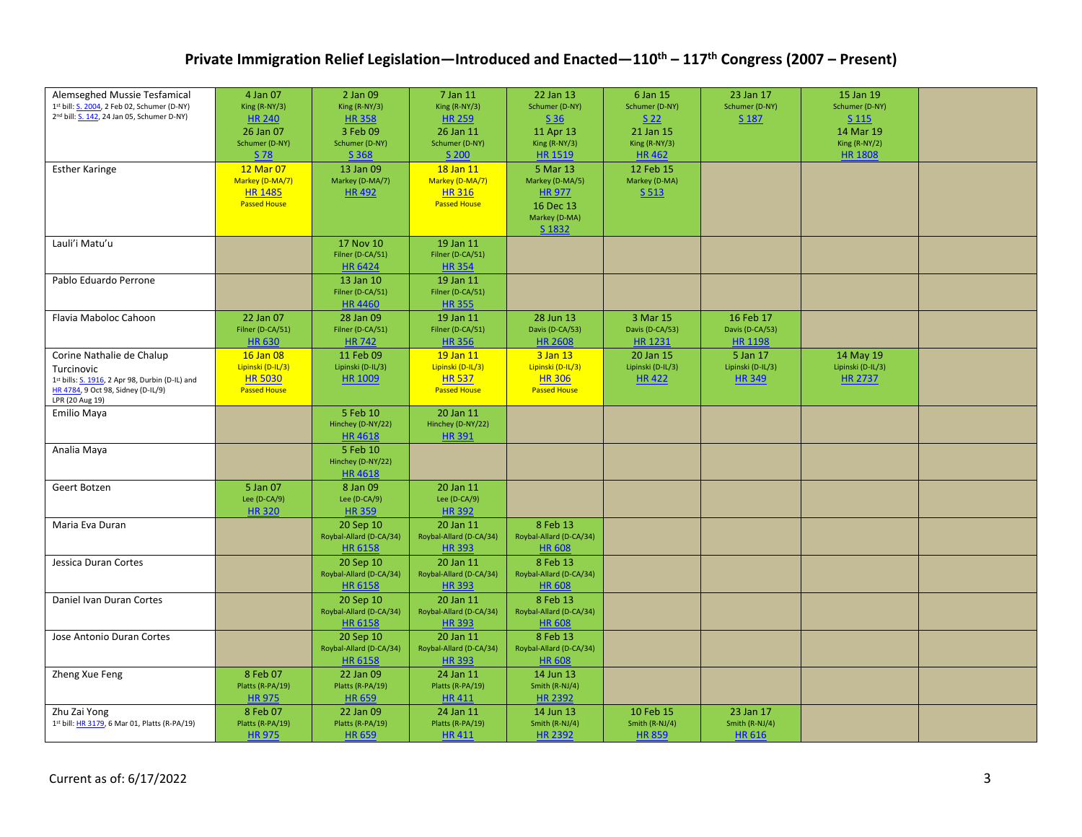| Alemseghed Mussie Tesfamical                                   | 4 Jan 07            | 2 Jan 09                             | 7 Jan 11                | 22 Jan 13               | 6 Jan 15          | 23 Jan 17         | 15 Jan 19         |  |
|----------------------------------------------------------------|---------------------|--------------------------------------|-------------------------|-------------------------|-------------------|-------------------|-------------------|--|
| 1st bill: S. 2004, 2 Feb 02, Schumer (D-NY)                    | King (R-NY/3)       | King (R-NY/3)                        | King (R-NY/3)           | Schumer (D-NY)          | Schumer (D-NY)    | Schumer (D-NY)    | Schumer (D-NY)    |  |
| 2 <sup>nd</sup> bill: <b>S. 142</b> , 24 Jan 05, Schumer D-NY) | <b>HR 240</b>       | <b>HR 358</b>                        | <b>HR 259</b>           | S <sub>36</sub>         | S <sub>22</sub>   | S 187             | S 115             |  |
|                                                                |                     |                                      |                         |                         |                   |                   |                   |  |
|                                                                | 26 Jan 07           | 3 Feb 09                             | 26 Jan 11               | 11 Apr 13               | 21 Jan 15         |                   | 14 Mar 19         |  |
|                                                                | Schumer (D-NY)      | Schumer (D-NY)                       | Schumer (D-NY)          | King (R-NY/3)           | King (R-NY/3)     |                   | King (R-NY/2)     |  |
|                                                                | S 78                | S 368                                | S 200                   | <b>HR 1519</b>          | <b>HR462</b>      |                   | <b>HR 1808</b>    |  |
| <b>Esther Karinge</b>                                          | 12 Mar 07           | 13 Jan 09                            | 18 Jan 11               | 5 Mar 13                | 12 Feb 15         |                   |                   |  |
|                                                                | Markey (D-MA/7)     | Markey (D-MA/7)                      | Markey (D-MA/7)         | Markey (D-MA/5)         | Markey (D-MA)     |                   |                   |  |
|                                                                | <b>HR 1485</b>      | <b>HR492</b>                         | <b>HR316</b>            | <b>HR 977</b>           | S 513             |                   |                   |  |
|                                                                | <b>Passed House</b> |                                      | <b>Passed House</b>     | 16 Dec 13               |                   |                   |                   |  |
|                                                                |                     |                                      |                         | Markey (D-MA)           |                   |                   |                   |  |
|                                                                |                     |                                      |                         | S 1832                  |                   |                   |                   |  |
| Lauli'i Matu'u                                                 |                     | 17 Nov 10                            | 19 Jan 11               |                         |                   |                   |                   |  |
|                                                                |                     | Filner (D-CA/51)                     | Filner (D-CA/51)        |                         |                   |                   |                   |  |
|                                                                |                     | <b>HR 6424</b>                       | <b>HR354</b>            |                         |                   |                   |                   |  |
| Pablo Eduardo Perrone                                          |                     | 13 Jan 10                            | 19 Jan 11               |                         |                   |                   |                   |  |
|                                                                |                     | Filner (D-CA/51)                     | Filner (D-CA/51)        |                         |                   |                   |                   |  |
|                                                                |                     | <b>HR4460</b>                        | <b>HR355</b>            |                         |                   |                   |                   |  |
|                                                                |                     |                                      |                         |                         |                   |                   |                   |  |
| Flavia Maboloc Cahoon                                          | 22 Jan 07           | 28 Jan 09                            | 19 Jan 11               | 28 Jun 13               | 3 Mar 15          | 16 Feb 17         |                   |  |
|                                                                | Filner (D-CA/51)    | Filner (D-CA/51)                     | Filner (D-CA/51)        | Davis (D-CA/53)         | Davis (D-CA/53)   | Davis (D-CA/53)   |                   |  |
|                                                                | <b>HR630</b>        | <b>HR742</b>                         | <b>HR356</b>            | <b>HR 2608</b>          | <b>HR 1231</b>    | <b>HR 1198</b>    |                   |  |
| Corine Nathalie de Chalup                                      | 16 Jan 08           | 11 Feb 09                            | 19 Jan 11               | 3 Jan 13                | 20 Jan 15         | 5 Jan 17          | 14 May 19         |  |
| Turcinovic                                                     | Lipinski (D-IL/3)   | Lipinski (D-IL/3)                    | Lipinski (D-IL/3)       | Lipinski (D-IL/3)       | Lipinski (D-IL/3) | Lipinski (D-IL/3) | Lipinski (D-IL/3) |  |
| 1st bills: S. 1916, 2 Apr 98, Durbin (D-IL) and                | <b>HR 5030</b>      | <b>HR 1009</b>                       | <b>HR537</b>            | <b>HR 306</b>           | <b>HR422</b>      | <b>HR349</b>      | <b>HR 2737</b>    |  |
| HR 4784, 9 Oct 98, Sidney (D-IL/9)                             | <b>Passed House</b> |                                      | <b>Passed House</b>     | <b>Passed House</b>     |                   |                   |                   |  |
| LPR (20 Aug 19)                                                |                     |                                      |                         |                         |                   |                   |                   |  |
| <b>Emilio Maya</b>                                             |                     | 5 Feb 10                             | 20 Jan 11               |                         |                   |                   |                   |  |
|                                                                |                     | Hinchey (D-NY/22)                    | Hinchey (D-NY/22)       |                         |                   |                   |                   |  |
|                                                                |                     | <b>HR4618</b>                        | <b>HR391</b>            |                         |                   |                   |                   |  |
| Analia Maya                                                    |                     | 5 Feb 10                             |                         |                         |                   |                   |                   |  |
|                                                                |                     | Hinchey (D-NY/22)                    |                         |                         |                   |                   |                   |  |
|                                                                |                     | <b>HR4618</b>                        |                         |                         |                   |                   |                   |  |
| Geert Botzen                                                   | 5 Jan 07            | 8 Jan 09                             | 20 Jan 11               |                         |                   |                   |                   |  |
|                                                                | Lee $(D-CA/9)$      | Lee $(D-CA/9)$                       | Lee $(D-CA/9)$          |                         |                   |                   |                   |  |
|                                                                | <b>HR320</b>        | <b>HR359</b>                         | <b>HR392</b>            |                         |                   |                   |                   |  |
| Maria Eva Duran                                                |                     | 20 Sep 10                            | 20 Jan 11               | 8 Feb 13                |                   |                   |                   |  |
|                                                                |                     | Roybal-Allard (D-CA/34)              | Roybal-Allard (D-CA/34) | Roybal-Allard (D-CA/34) |                   |                   |                   |  |
|                                                                |                     | <b>HR 6158</b>                       | <b>HR393</b>            | <b>HR 608</b>           |                   |                   |                   |  |
| Jessica Duran Cortes                                           |                     | 20 Sep 10                            | 20 Jan 11               | 8 Feb 13                |                   |                   |                   |  |
|                                                                |                     | Roybal-Allard (D-CA/34)              | Roybal-Allard (D-CA/34) | Roybal-Allard (D-CA/34) |                   |                   |                   |  |
|                                                                |                     | <b>HR 6158</b>                       | <b>HR393</b>            | <b>HR 608</b>           |                   |                   |                   |  |
| Daniel Ivan Duran Cortes                                       |                     |                                      | 20 Jan 11               | 8 Feb 13                |                   |                   |                   |  |
|                                                                |                     | 20 Sep 10<br>Roybal-Allard (D-CA/34) | Roybal-Allard (D-CA/34) | Roybal-Allard (D-CA/34) |                   |                   |                   |  |
|                                                                |                     |                                      |                         |                         |                   |                   |                   |  |
|                                                                |                     | <b>HR 6158</b>                       | <b>HR393</b>            | <b>HR 608</b>           |                   |                   |                   |  |
| Jose Antonio Duran Cortes                                      |                     | 20 Sep 10                            | 20 Jan 11               | 8 Feb 13                |                   |                   |                   |  |
|                                                                |                     | Roybal-Allard (D-CA/34)              | Roybal-Allard (D-CA/34) | Roybal-Allard (D-CA/34) |                   |                   |                   |  |
|                                                                |                     | <b>HR 6158</b>                       | <b>HR393</b>            | <b>HR 608</b>           |                   |                   |                   |  |
| Zheng Xue Feng                                                 | 8 Feb 07            | 22 Jan 09                            | 24 Jan 11               | 14 Jun 13               |                   |                   |                   |  |
|                                                                | Platts (R-PA/19)    | Platts (R-PA/19)                     | Platts (R-PA/19)        | Smith (R-NJ/4)          |                   |                   |                   |  |
|                                                                | <b>HR975</b>        | <b>HR 659</b>                        | <b>HR411</b>            | <b>HR 2392</b>          |                   |                   |                   |  |
| Zhu Zai Yong                                                   | 8 Feb 07            | 22 Jan 09                            | 24 Jan 11               | 14 Jun 13               | 10 Feb 15         | 23 Jan 17         |                   |  |
| 1st bill: HR 3179, 6 Mar 01, Platts (R-PA/19)                  | Platts (R-PA/19)    | Platts (R-PA/19)                     | Platts (R-PA/19)        | Smith (R-NJ/4)          | Smith (R-NJ/4)    | Smith (R-NJ/4)    |                   |  |
|                                                                | <b>HR 975</b>       | <b>HR 659</b>                        | <b>HR411</b>            | <b>HR 2392</b>          | <b>HR 859</b>     | <b>HR 616</b>     |                   |  |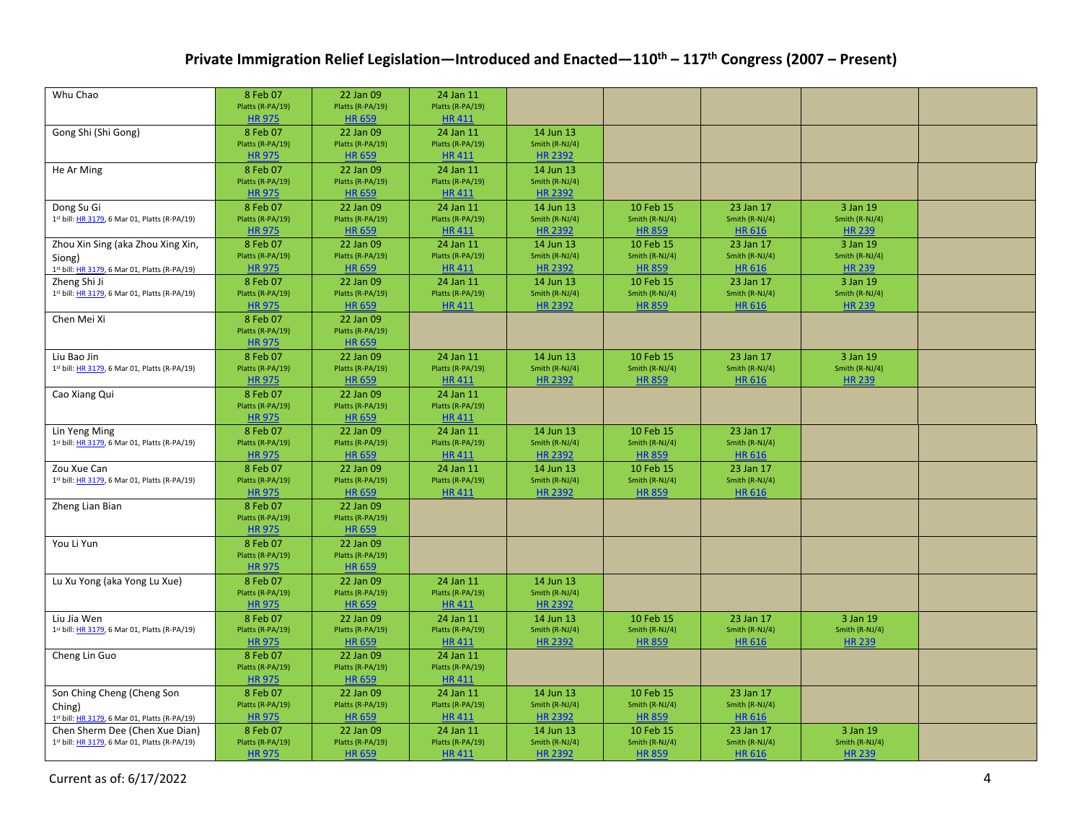| Whu Chao                                                     | 8 Feb 07<br>Platts (R-PA/19)      | 22 Jan 09<br>Platts (R-PA/19)     | 24 Jan 11<br>Platts (R-PA/19)    |                                  |                                 |                                 |                                 |  |
|--------------------------------------------------------------|-----------------------------------|-----------------------------------|----------------------------------|----------------------------------|---------------------------------|---------------------------------|---------------------------------|--|
|                                                              | <b>HR 975</b>                     | <b>HR 659</b>                     | <b>HR411</b>                     |                                  |                                 |                                 |                                 |  |
| Gong Shi (Shi Gong)                                          | 8 Feb 07                          | 22 Jan 09                         | 24 Jan 11                        | 14 Jun 13                        |                                 |                                 |                                 |  |
|                                                              | Platts (R-PA/19)                  | Platts (R-PA/19)                  | Platts (R-PA/19)                 | Smith (R-NJ/4)                   |                                 |                                 |                                 |  |
|                                                              | <b>HR975</b>                      | <b>HR 659</b>                     | <b>HR411</b>                     | <b>HR 2392</b>                   |                                 |                                 |                                 |  |
| He Ar Ming                                                   | 8 Feb 07                          | 22 Jan 09                         | 24 Jan 11                        | 14 Jun 13                        |                                 |                                 |                                 |  |
|                                                              | Platts (R-PA/19)                  | Platts (R-PA/19)                  | Platts (R-PA/19)                 | Smith (R-NJ/4)                   |                                 |                                 |                                 |  |
|                                                              | <b>HR975</b>                      | <b>HR 659</b>                     | <b>HR411</b>                     | <b>HR 2392</b>                   |                                 |                                 |                                 |  |
| Dong Su Gi<br>1st bill: HR 3179, 6 Mar 01, Platts (R-PA/19)  | 8 Feb 07<br>Platts (R-PA/19)      | 22 Jan 09<br>Platts (R-PA/19)     | 24 Jan 11<br>Platts (R-PA/19)    | 14 Jun 13<br>Smith (R-NJ/4)      | 10 Feb 15<br>Smith (R-NJ/4)     | 23 Jan 17<br>Smith (R-NJ/4)     | 3 Jan 19<br>Smith (R-NJ/4)      |  |
|                                                              | <b>HR 975</b>                     | <b>HR 659</b>                     | <b>HR411</b>                     | <b>HR 2392</b>                   | <b>HR 859</b>                   | <b>HR 616</b>                   | <b>HR 239</b>                   |  |
| Zhou Xin Sing (aka Zhou Xing Xin,                            | 8 Feb 07                          | 22 Jan 09                         | 24 Jan 11                        | 14 Jun 13                        | 10 Feb 15                       | 23 Jan 17                       | 3 Jan 19                        |  |
| Siong)                                                       | Platts (R-PA/19)                  | Platts (R-PA/19)                  | Platts (R-PA/19)                 | Smith (R-NJ/4)                   | Smith (R-NJ/4)                  | Smith (R-NJ/4)                  | Smith (R-NJ/4)                  |  |
| 1st bill: HR 3179, 6 Mar 01, Platts (R-PA/19)                | <b>HR 975</b>                     | <b>HR 659</b>                     | <b>HR411</b>                     | <b>HR 2392</b>                   | <b>HR 859</b>                   | <b>HR 616</b>                   | <b>HR 239</b>                   |  |
| Zheng Shi Ji                                                 | 8 Feb 07                          | 22 Jan 09                         | 24 Jan 11                        | 14 Jun 13                        | 10 Feb 15                       | 23 Jan 17                       | 3 Jan 19                        |  |
| 1st bill: HR 3179, 6 Mar 01, Platts (R-PA/19)                | Platts (R-PA/19)                  | Platts (R-PA/19)                  | Platts (R-PA/19)                 | Smith (R-NJ/4)                   | Smith (R-NJ/4)                  | Smith (R-NJ/4)                  | Smith (R-NJ/4)                  |  |
|                                                              | <b>HR975</b>                      | <b>HR 659</b>                     | <b>HR411</b>                     | <b>HR 2392</b>                   | <b>HR 859</b>                   | <b>HR 616</b>                   | <b>HR 239</b>                   |  |
| Chen Mei Xi                                                  | 8 Feb 07                          | 22 Jan 09                         |                                  |                                  |                                 |                                 |                                 |  |
|                                                              | Platts (R-PA/19)                  | Platts (R-PA/19)                  |                                  |                                  |                                 |                                 |                                 |  |
|                                                              | <b>HR 975</b>                     | <b>HR 659</b>                     |                                  |                                  |                                 |                                 |                                 |  |
| Liu Bao Jin<br>1st bill: HR 3179, 6 Mar 01, Platts (R-PA/19) | 8 Feb 07<br>Platts (R-PA/19)      | 22 Jan 09<br>Platts (R-PA/19)     | 24 Jan 11<br>Platts (R-PA/19)    | 14 Jun 13<br>Smith (R-NJ/4)      | 10 Feb 15<br>Smith (R-NJ/4)     | 23 Jan 17<br>Smith (R-NJ/4)     | 3 Jan 19<br>Smith (R-NJ/4)      |  |
|                                                              | <b>HR975</b>                      | <b>HR 659</b>                     | <b>HR411</b>                     | <b>HR 2392</b>                   | <b>HR 859</b>                   | <b>HR 616</b>                   | <b>HR 239</b>                   |  |
| Cao Xiang Qui                                                | 8 Feb 07                          | 22 Jan 09                         | 24 Jan 11                        |                                  |                                 |                                 |                                 |  |
|                                                              | Platts (R-PA/19)                  | Platts (R-PA/19)                  | Platts (R-PA/19)                 |                                  |                                 |                                 |                                 |  |
|                                                              | <b>HR 975</b>                     | <b>HR 659</b>                     | <b>HR411</b>                     |                                  |                                 |                                 |                                 |  |
| Lin Yeng Ming                                                | 8 Feb 07                          | 22 Jan 09                         | 24 Jan 11                        | 14 Jun 13                        | 10 Feb 15                       | 23 Jan 17                       |                                 |  |
| 1st bill: HR 3179, 6 Mar 01, Platts (R-PA/19)                | Platts (R-PA/19)                  | Platts (R-PA/19)                  | Platts (R-PA/19)                 | Smith (R-NJ/4)                   | Smith (R-NJ/4)                  | Smith (R-NJ/4)                  |                                 |  |
|                                                              | <b>HR975</b>                      | <b>HR 659</b>                     | <b>HR411</b>                     | <b>HR 2392</b>                   | <b>HR 859</b>                   | <b>HR 616</b>                   |                                 |  |
| Zou Xue Can                                                  | 8 Feb 07                          | 22 Jan 09                         | 24 Jan 11                        | 14 Jun 13                        | 10 Feb 15                       | 23 Jan 17                       |                                 |  |
| 1st bill: HR 3179, 6 Mar 01, Platts (R-PA/19)                | Platts (R-PA/19)<br><b>HR 975</b> | Platts (R-PA/19)<br><b>HR 659</b> | Platts (R-PA/19)<br><b>HR411</b> | Smith (R-NJ/4)<br><b>HR 2392</b> | Smith (R-NJ/4)<br><b>HR 859</b> | Smith (R-NJ/4)<br><b>HR 616</b> |                                 |  |
|                                                              | 8 Feb 07                          | 22 Jan 09                         |                                  |                                  |                                 |                                 |                                 |  |
| Zheng Lian Bian                                              | Platts (R-PA/19)                  | Platts (R-PA/19)                  |                                  |                                  |                                 |                                 |                                 |  |
|                                                              | <b>HR 975</b>                     | <b>HR 659</b>                     |                                  |                                  |                                 |                                 |                                 |  |
| You Li Yun                                                   | 8 Feb 07                          | 22 Jan 09                         |                                  |                                  |                                 |                                 |                                 |  |
|                                                              | Platts (R-PA/19)                  | Platts (R-PA/19)                  |                                  |                                  |                                 |                                 |                                 |  |
|                                                              | <b>HR 975</b>                     | <b>HR 659</b>                     |                                  |                                  |                                 |                                 |                                 |  |
| Lu Xu Yong (aka Yong Lu Xue)                                 | 8 Feb 07                          | 22 Jan 09                         | 24 Jan 11                        | 14 Jun 13                        |                                 |                                 |                                 |  |
|                                                              | Platts (R-PA/19)                  | Platts (R-PA/19)                  | Platts (R-PA/19)                 | Smith (R-NJ/4)                   |                                 |                                 |                                 |  |
|                                                              | <b>HR 975</b>                     | <b>HR 659</b>                     | <b>HR411</b>                     | <b>HR 2392</b>                   |                                 |                                 |                                 |  |
| Liu Jia Wen<br>1st bill: HR 3179, 6 Mar 01, Platts (R-PA/19) | 8 Feb 07<br>Platts (R-PA/19)      | 22 Jan 09<br>Platts (R-PA/19)     | 24 Jan 11<br>Platts (R-PA/19)    | 14 Jun 13<br>Smith (R-NJ/4)      | 10 Feb 15<br>Smith (R-NJ/4)     | 23 Jan 17<br>Smith (R-NJ/4)     | 3 Jan 19<br>Smith (R-NJ/4)      |  |
|                                                              | <b>HR 975</b>                     | <b>HR 659</b>                     | <b>HR411</b>                     | <b>HR 2392</b>                   | <b>HR 859</b>                   | HR 616                          | <b>HR 239</b>                   |  |
| Cheng Lin Guo                                                | 8 Feb 07                          | 22 Jan 09                         | 24 Jan 11                        |                                  |                                 |                                 |                                 |  |
|                                                              | Platts (R-PA/19)                  | Platts (R-PA/19)                  | Platts (R-PA/19)                 |                                  |                                 |                                 |                                 |  |
|                                                              | <b>HR975</b>                      | <b>HR 659</b>                     | <b>HR411</b>                     |                                  |                                 |                                 |                                 |  |
| Son Ching Cheng (Cheng Son                                   | 8 Feb 07                          | 22 Jan 09                         | 24 Jan 11                        | 14 Jun 13                        | 10 Feb 15                       | 23 Jan 17                       |                                 |  |
| Ching)                                                       | Platts (R-PA/19)                  | Platts (R-PA/19)                  | Platts (R-PA/19)                 | Smith (R-NJ/4)                   | Smith (R-NJ/4)                  | Smith (R-NJ/4)                  |                                 |  |
| 1st bill: HR 3179, 6 Mar 01, Platts (R-PA/19)                | <b>HR 975</b>                     | <b>HR 659</b>                     | <b>HR411</b>                     | <b>HR 2392</b>                   | <b>HR 859</b>                   | <b>HR 616</b>                   |                                 |  |
| Chen Sherm Dee (Chen Xue Dian)                               | 8 Feb 07                          | 22 Jan 09                         | 24 Jan 11                        | 14 Jun 13                        | 10 Feb 15                       | 23 Jan 17                       | 3 Jan 19                        |  |
| 1st bill: HR 3179, 6 Mar 01, Platts (R-PA/19)                | Platts (R-PA/19)<br><b>HR975</b>  | Platts (R-PA/19)<br><b>HR 659</b> | Platts (R-PA/19)<br><b>HR411</b> | Smith (R-NJ/4)<br><b>HR 2392</b> | Smith (R-NJ/4)<br><b>HR 859</b> | Smith (R-NJ/4)<br><b>HR 616</b> | Smith (R-NJ/4)<br><b>HR 239</b> |  |
|                                                              |                                   |                                   |                                  |                                  |                                 |                                 |                                 |  |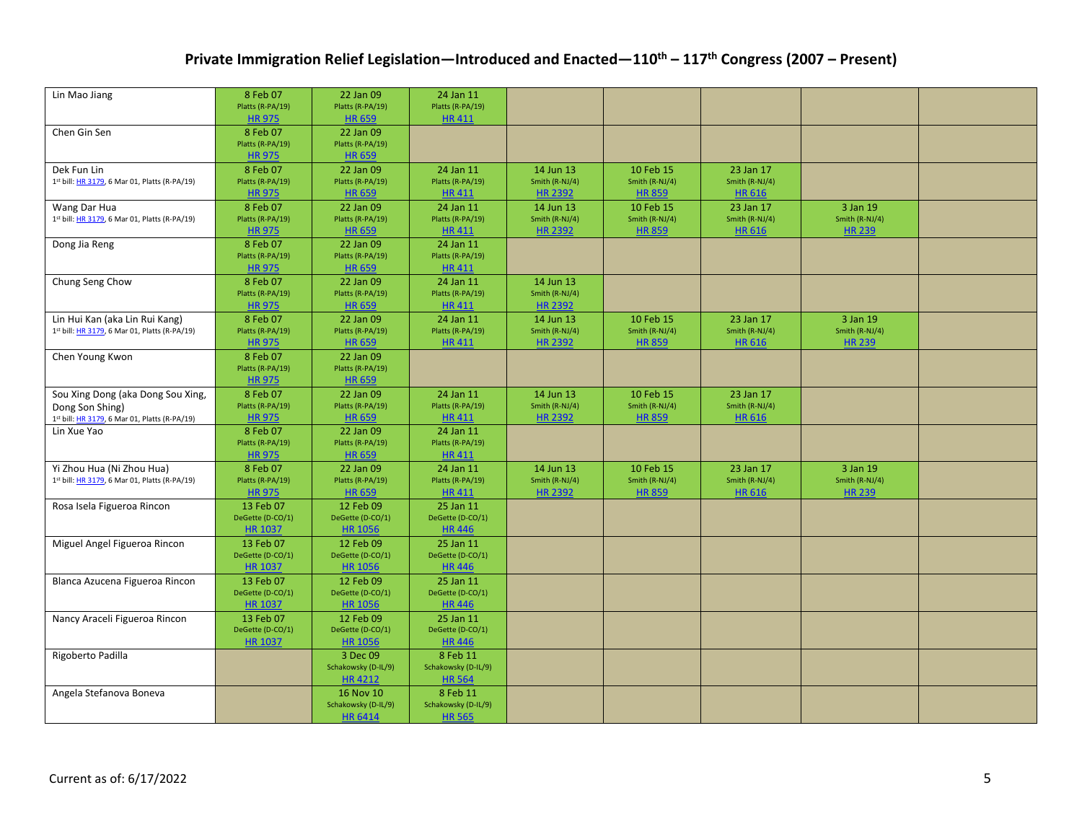| Lin Mao Jiang                                                                   | 8 Feb 07                          | 22 Jan 09                         | 24 Jan 11                     |                             |                               |                             |                            |  |
|---------------------------------------------------------------------------------|-----------------------------------|-----------------------------------|-------------------------------|-----------------------------|-------------------------------|-----------------------------|----------------------------|--|
|                                                                                 | Platts (R-PA/19)                  | Platts (R-PA/19)                  | Platts (R-PA/19)              |                             |                               |                             |                            |  |
|                                                                                 | <b>HR975</b>                      | <b>HR 659</b>                     | <b>HR411</b>                  |                             |                               |                             |                            |  |
| Chen Gin Sen                                                                    | 8 Feb 07                          | 22 Jan 09                         |                               |                             |                               |                             |                            |  |
|                                                                                 | Platts (R-PA/19)<br><b>HR 975</b> | Platts (R-PA/19)<br><b>HR 659</b> |                               |                             |                               |                             |                            |  |
| Dek Fun Lin                                                                     | 8 Feb 07                          | 22 Jan 09                         | 24 Jan 11                     | 14 Jun 13                   | 10 Feb 15                     | 23 Jan 17                   |                            |  |
| 1st bill: HR 3179, 6 Mar 01, Platts (R-PA/19)                                   | Platts (R-PA/19)                  | Platts (R-PA/19)                  | Platts (R-PA/19)              | Smith (R-NJ/4)              | Smith (R-NJ/4)                | Smith (R-NJ/4)              |                            |  |
|                                                                                 | <b>HR975</b>                      | <b>HR 659</b>                     | <b>HR411</b>                  | <b>HR 2392</b>              | <b>HR 859</b>                 | HR 616                      |                            |  |
| Wang Dar Hua                                                                    | 8 Feb 07                          | 22 Jan 09                         | 24 Jan 11                     | 14 Jun 13                   | 10 Feb 15                     | 23 Jan 17                   | 3 Jan 19                   |  |
| 1st bill: HR 3179, 6 Mar 01, Platts (R-PA/19)                                   | Platts (R-PA/19)                  | Platts (R-PA/19)                  | Platts (R-PA/19)              | Smith (R-NJ/4)              | Smith (R-NJ/4)                | Smith (R-NJ/4)              | Smith (R-NJ/4)             |  |
|                                                                                 | <b>HR975</b>                      | <b>HR 659</b>                     | <b>HR411</b>                  | <b>HR 2392</b>              | <b>HR 859</b>                 | <b>HR 616</b>               | <b>HR 239</b>              |  |
| Dong Jia Reng                                                                   | 8 Feb 07                          | 22 Jan 09                         | 24 Jan 11                     |                             |                               |                             |                            |  |
|                                                                                 | Platts (R-PA/19)                  | Platts (R-PA/19)                  | Platts (R-PA/19)              |                             |                               |                             |                            |  |
|                                                                                 | <b>HR975</b>                      | <b>HR 659</b>                     | <b>HR411</b>                  |                             |                               |                             |                            |  |
| Chung Seng Chow                                                                 | 8 Feb 07                          | 22 Jan 09                         | 24 Jan 11                     | 14 Jun 13                   |                               |                             |                            |  |
|                                                                                 | Platts (R-PA/19)                  | Platts (R-PA/19)                  | Platts (R-PA/19)              | Smith (R-NJ/4)              |                               |                             |                            |  |
|                                                                                 | <b>HR 975</b>                     | <b>HR 659</b>                     | <b>HR411</b>                  | <b>HR 2392</b>              |                               |                             |                            |  |
| Lin Hui Kan (aka Lin Rui Kang)<br>1st bill: HR 3179, 6 Mar 01, Platts (R-PA/19) | 8 Feb 07<br>Platts (R-PA/19)      | 22 Jan 09<br>Platts (R-PA/19)     | 24 Jan 11<br>Platts (R-PA/19) | 14 Jun 13<br>Smith (R-NJ/4) | 10 Feb 15<br>Smith (R-NJ/4)   | 23 Jan 17<br>Smith (R-NJ/4) | 3 Jan 19<br>Smith (R-NJ/4) |  |
|                                                                                 | <b>HR 975</b>                     | <b>HR 659</b>                     | <b>HR411</b>                  | <b>HR 2392</b>              | <b>HR 859</b>                 | <b>HR 616</b>               | <b>HR 239</b>              |  |
| Chen Young Kwon                                                                 | 8 Feb 07                          | 22 Jan 09                         |                               |                             |                               |                             |                            |  |
|                                                                                 | Platts (R-PA/19)                  | Platts (R-PA/19)                  |                               |                             |                               |                             |                            |  |
|                                                                                 | <b>HR975</b>                      | <b>HR 659</b>                     |                               |                             |                               |                             |                            |  |
| Sou Xing Dong (aka Dong Sou Xing,                                               | 8 Feb 07                          | 22 Jan 09                         | 24 Jan 11                     | 14 Jun 13                   | 10 Feb 15                     | 23 Jan 17                   |                            |  |
| Dong Son Shing)                                                                 | Platts (R-PA/19)                  | Platts (R-PA/19)                  | Platts (R-PA/19)              | Smith (R-NJ/4)              | Smith $(R-NJ/4)$              | Smith (R-NJ/4)              |                            |  |
| 1st bill: HR 3179, 6 Mar 01, Platts (R-PA/19)                                   | <b>HR 975</b>                     | <b>HR 659</b>                     | <b>HR411</b>                  | <b>HR 2392</b>              | <b>HR 859</b>                 | <b>HR 616</b>               |                            |  |
| Lin Xue Yao                                                                     | 8 Feb 07                          | 22 Jan 09                         | 24 Jan 11                     |                             |                               |                             |                            |  |
|                                                                                 | Platts (R-PA/19)                  | Platts (R-PA/19)                  | Platts (R-PA/19)              |                             |                               |                             |                            |  |
|                                                                                 | <b>HR 975</b>                     | <b>HR 659</b>                     | <b>HR411</b>                  |                             |                               |                             |                            |  |
| Yi Zhou Hua (Ni Zhou Hua)<br>1st bill: HR 3179, 6 Mar 01, Platts (R-PA/19)      | 8 Feb 07<br>Platts (R-PA/19)      | 22 Jan 09<br>Platts (R-PA/19)     | 24 Jan 11<br>Platts (R-PA/19) | 14 Jun 13<br>Smith (R-NJ/4) | 10 Feb 15<br>Smith $(R-NJ/4)$ | 23 Jan 17<br>Smith (R-NJ/4) | 3 Jan 19<br>Smith (R-NJ/4) |  |
|                                                                                 | <b>HR975</b>                      | <b>HR 659</b>                     | <b>HR411</b>                  | <b>HR 2392</b>              | <b>HR 859</b>                 | <b>HR 616</b>               | <b>HR 239</b>              |  |
| Rosa Isela Figueroa Rincon                                                      | 13 Feb 07                         | 12 Feb 09                         | 25 Jan 11                     |                             |                               |                             |                            |  |
|                                                                                 | DeGette (D-CO/1)                  | DeGette (D-CO/1)                  | DeGette (D-CO/1)              |                             |                               |                             |                            |  |
|                                                                                 | <b>HR 1037</b>                    | <b>HR 1056</b>                    | <b>HR446</b>                  |                             |                               |                             |                            |  |
| Miguel Angel Figueroa Rincon                                                    | 13 Feb 07                         | 12 Feb 09                         | 25 Jan 11                     |                             |                               |                             |                            |  |
|                                                                                 | DeGette (D-CO/1)                  | DeGette (D-CO/1)                  | DeGette (D-CO/1)              |                             |                               |                             |                            |  |
|                                                                                 | <b>HR 1037</b>                    | <b>HR 1056</b>                    | <b>HR446</b>                  |                             |                               |                             |                            |  |
| Blanca Azucena Figueroa Rincon                                                  | 13 Feb 07                         | 12 Feb 09                         | 25 Jan 11                     |                             |                               |                             |                            |  |
|                                                                                 | DeGette (D-CO/1)                  | DeGette (D-CO/1)                  | DeGette (D-CO/1)              |                             |                               |                             |                            |  |
|                                                                                 | <b>HR 1037</b>                    | <b>HR 1056</b>                    | <b>HR446</b>                  |                             |                               |                             |                            |  |
| Nancy Araceli Figueroa Rincon                                                   | 13 Feb 07<br>DeGette (D-CO/1)     | 12 Feb 09<br>DeGette (D-CO/1)     | 25 Jan 11<br>DeGette (D-CO/1) |                             |                               |                             |                            |  |
|                                                                                 | <b>HR 1037</b>                    | <b>HR 1056</b>                    | <b>HR446</b>                  |                             |                               |                             |                            |  |
| Rigoberto Padilla                                                               |                                   | 3 Dec 09                          | 8 Feb 11                      |                             |                               |                             |                            |  |
|                                                                                 |                                   | Schakowsky (D-IL/9)               | Schakowsky (D-IL/9)           |                             |                               |                             |                            |  |
|                                                                                 |                                   | <b>HR4212</b>                     | <b>HR 564</b>                 |                             |                               |                             |                            |  |
| Angela Stefanova Boneva                                                         |                                   | 16 Nov 10                         | 8 Feb 11                      |                             |                               |                             |                            |  |
|                                                                                 |                                   | Schakowsky (D-IL/9)               | Schakowsky (D-IL/9)           |                             |                               |                             |                            |  |
|                                                                                 |                                   | <b>HR 6414</b>                    | <b>HR 565</b>                 |                             |                               |                             |                            |  |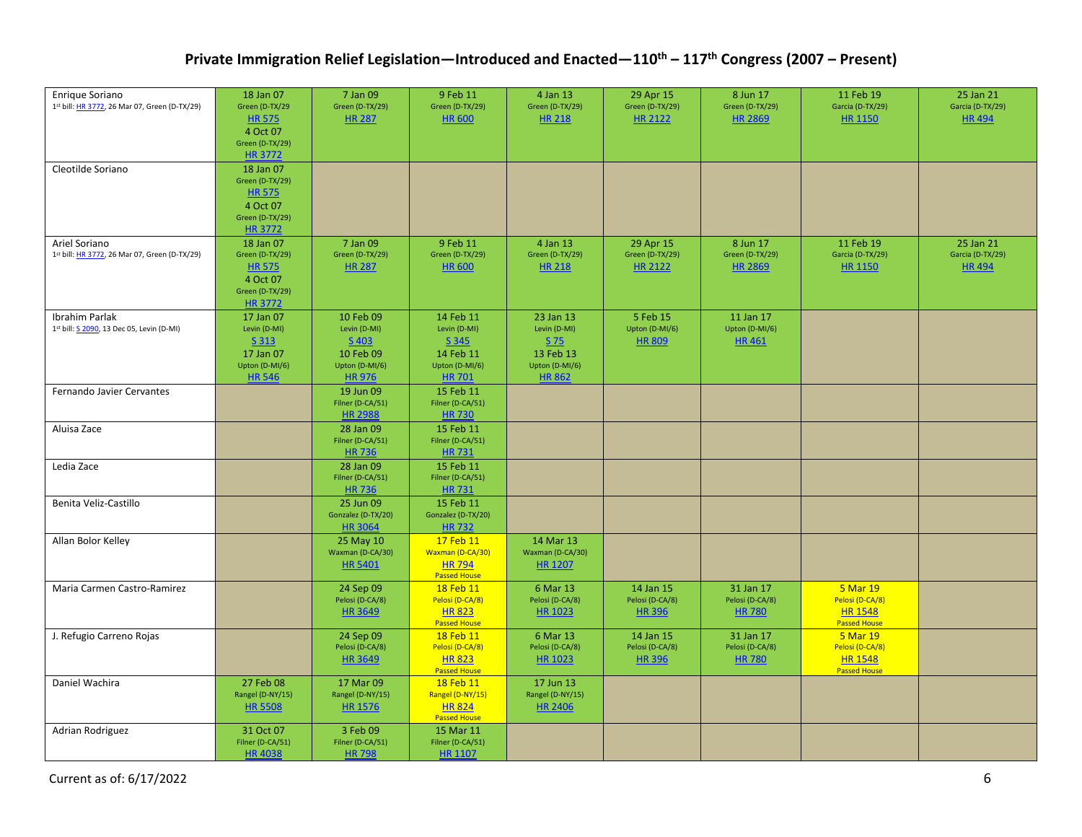| Enrique Soriano<br>1st bill: HR 3772, 26 Mar 07, Green (D-TX/29)   | 18 Jan 07<br>Green (D-TX/29                                                                    | 7 Jan 09<br>Green (D-TX/29)                                                          | 9 Feb 11<br>Green (D-TX/29)                                                        | 4 Jan 13<br>Green (D-TX/29)                                                         | 29 Apr 15<br>Green (D-TX/29)                   | 8 Jun 17<br>Green (D-TX/29)                   | 11 Feb 19<br>Garcia (D-TX/29)                                        | 25 Jan 21<br>Garcia (D-TX/29)                 |
|--------------------------------------------------------------------|------------------------------------------------------------------------------------------------|--------------------------------------------------------------------------------------|------------------------------------------------------------------------------------|-------------------------------------------------------------------------------------|------------------------------------------------|-----------------------------------------------|----------------------------------------------------------------------|-----------------------------------------------|
|                                                                    | <b>HR575</b><br>4 Oct 07<br>Green (D-TX/29)<br><b>HR 3772</b>                                  | <b>HR 287</b>                                                                        | <b>HR 600</b>                                                                      | <b>HR 218</b>                                                                       | HR 2122                                        | <b>HR 2869</b>                                | <b>HR 1150</b>                                                       | <b>HR494</b>                                  |
| Cleotilde Soriano                                                  | 18 Jan 07<br>Green (D-TX/29)<br><b>HR 575</b><br>4 Oct 07<br>Green (D-TX/29)<br><b>HR 3772</b> |                                                                                      |                                                                                    |                                                                                     |                                                |                                               |                                                                      |                                               |
| Ariel Soriano<br>1st bill: HR 3772, 26 Mar 07, Green (D-TX/29)     | 18 Jan 07<br>Green (D-TX/29)<br><b>HR 575</b><br>4 Oct 07<br>Green (D-TX/29)<br><b>HR 3772</b> | 7 Jan 09<br>Green (D-TX/29)<br><b>HR 287</b>                                         | 9 Feb 11<br>Green (D-TX/29)<br><b>HR 600</b>                                       | 4 Jan 13<br>Green (D-TX/29)<br><b>HR 218</b>                                        | 29 Apr 15<br>Green (D-TX/29)<br><b>HR 2122</b> | 8 Jun 17<br>Green (D-TX/29)<br><b>HR 2869</b> | 11 Feb 19<br>Garcia (D-TX/29)<br><b>HR 1150</b>                      | 25 Jan 21<br>Garcia (D-TX/29)<br><b>HR494</b> |
| <b>Ibrahim Parlak</b><br>1st bill: S 2090, 13 Dec 05, Levin (D-MI) | 17 Jan 07<br>Levin (D-MI)<br>S 313<br>17 Jan 07<br>Upton (D-MI/6)<br><b>HR546</b>              | 10 Feb 09<br>Levin (D-MI)<br>$S$ 403<br>10 Feb 09<br>Upton (D-MI/6)<br><b>HR 976</b> | 14 Feb 11<br>Levin (D-MI)<br>S 345<br>14 Feb 11<br>Upton (D-MI/6)<br><b>HR 701</b> | 23 Jan 13<br>Levin (D-MI)<br>$S$ 75<br>13 Feb 13<br>Upton (D-MI/6)<br><b>HR 862</b> | 5 Feb 15<br>Upton (D-MI/6)<br><b>HR 809</b>    | 11 Jan 17<br>Upton (D-MI/6)<br><b>HR461</b>   |                                                                      |                                               |
| Fernando Javier Cervantes                                          |                                                                                                | 19 Jun 09<br>Filner (D-CA/51)<br><b>HR 2988</b>                                      | 15 Feb 11<br>Filner (D-CA/51)<br><b>HR730</b>                                      |                                                                                     |                                                |                                               |                                                                      |                                               |
| Aluisa Zace                                                        |                                                                                                | 28 Jan 09<br>Filner (D-CA/51)<br><b>HR736</b>                                        | 15 Feb 11<br>Filner (D-CA/51)<br><b>HR731</b>                                      |                                                                                     |                                                |                                               |                                                                      |                                               |
| Ledia Zace                                                         |                                                                                                | 28 Jan 09<br>Filner (D-CA/51)<br><b>HR736</b>                                        | 15 Feb 11<br>Filner (D-CA/51)<br><b>HR731</b>                                      |                                                                                     |                                                |                                               |                                                                      |                                               |
| Benita Veliz-Castillo                                              |                                                                                                | 25 Jun 09<br>Gonzalez (D-TX/20)<br><b>HR 3064</b>                                    | 15 Feb 11<br>Gonzalez (D-TX/20)<br><b>HR732</b>                                    |                                                                                     |                                                |                                               |                                                                      |                                               |
| Allan Bolor Kelley                                                 |                                                                                                | 25 May 10<br>Waxman (D-CA/30)<br><b>HR 5401</b>                                      | 17 Feb 11<br>Waxman (D-CA/30)<br><b>HR 794</b><br><b>Passed House</b>              | 14 Mar 13<br>Waxman (D-CA/30)<br><b>HR 1207</b>                                     |                                                |                                               |                                                                      |                                               |
| Maria Carmen Castro-Ramirez                                        |                                                                                                | 24 Sep 09<br>Pelosi (D-CA/8)<br><b>HR 3649</b>                                       | 18 Feb 11<br>Pelosi (D-CA/8)<br><b>HR 823</b><br><b>Passed House</b>               | 6 Mar 13<br>Pelosi (D-CA/8)<br>HR 1023                                              | 14 Jan 15<br>Pelosi (D-CA/8)<br><b>HR 396</b>  | 31 Jan 17<br>Pelosi (D-CA/8)<br><b>HR 780</b> | 5 Mar 19<br>Pelosi (D-CA/8)<br><b>HR 1548</b><br><b>Passed House</b> |                                               |
| J. Refugio Carreno Rojas                                           |                                                                                                | 24 Sep 09<br>Pelosi (D-CA/8)<br><b>HR 3649</b>                                       | 18 Feb 11<br>Pelosi (D-CA/8)<br><b>HR 823</b><br><b>Passed House</b>               | 6 Mar 13<br>Pelosi (D-CA/8)<br><b>HR 1023</b>                                       | 14 Jan 15<br>Pelosi (D-CA/8)<br><b>HR396</b>   | 31 Jan 17<br>Pelosi (D-CA/8)<br><b>HR 780</b> | 5 Mar 19<br>Pelosi (D-CA/8)<br><b>HR 1548</b><br><b>Passed House</b> |                                               |
| Daniel Wachira                                                     | 27 Feb 08<br>Rangel (D-NY/15)<br><b>HR 5508</b>                                                | 17 Mar 09<br>Rangel (D-NY/15)<br><b>HR 1576</b>                                      | 18 Feb 11<br>Rangel (D-NY/15)<br><b>HR 824</b><br><b>Passed House</b>              | 17 Jun 13<br>Rangel (D-NY/15)<br><b>HR 2406</b>                                     |                                                |                                               |                                                                      |                                               |
| Adrian Rodriguez                                                   | 31 Oct 07<br>Filner (D-CA/51)<br><b>HR4038</b>                                                 | 3 Feb 09<br>Filner (D-CA/51)<br><b>HR798</b>                                         | 15 Mar 11<br>Filner (D-CA/51)<br><b>HR 1107</b>                                    |                                                                                     |                                                |                                               |                                                                      |                                               |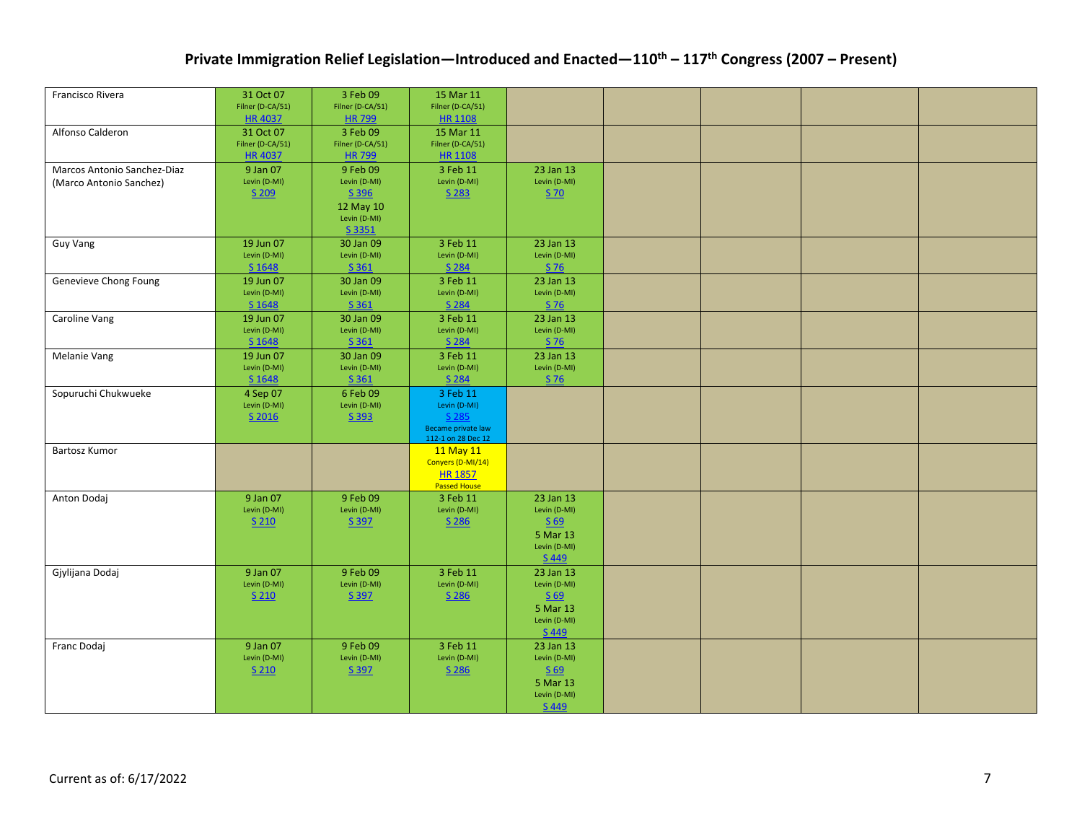| Francisco Rivera            | 31 Oct 07                         | 3 Feb 09                         | 15 Mar 11                                |                                                               |  |  |
|-----------------------------|-----------------------------------|----------------------------------|------------------------------------------|---------------------------------------------------------------|--|--|
|                             | Filner (D-CA/51)                  | Filner (D-CA/51)                 | Filner (D-CA/51)                         |                                                               |  |  |
|                             | HR 4037                           | <b>HR799</b>                     | <b>HR 1108</b>                           |                                                               |  |  |
| Alfonso Calderon            | 31 Oct 07                         | 3 Feb 09                         | 15 Mar 11                                |                                                               |  |  |
|                             | Filner (D-CA/51)<br><b>HR4037</b> | Filner (D-CA/51)<br><b>HR799</b> | Filner (D-CA/51)                         |                                                               |  |  |
| Marcos Antonio Sanchez-Diaz | 9 Jan 07                          | 9 Feb 09                         | <b>HR 1108</b><br>3 Feb 11               | 23 Jan 13                                                     |  |  |
|                             | Levin (D-MI)                      | Levin (D-MI)                     | Levin (D-MI)                             | Levin (D-MI)                                                  |  |  |
| (Marco Antonio Sanchez)     | S 209                             | S 396                            | S 283                                    | S 70                                                          |  |  |
|                             |                                   | 12 May 10                        |                                          |                                                               |  |  |
|                             |                                   | Levin (D-MI)                     |                                          |                                                               |  |  |
|                             |                                   | S 3351                           |                                          |                                                               |  |  |
| Guy Vang                    | 19 Jun 07                         | 30 Jan 09                        | 3 Feb 11                                 | 23 Jan 13                                                     |  |  |
|                             | Levin (D-MI)                      | Levin (D-MI)                     | Levin (D-MI)                             | Levin (D-MI)                                                  |  |  |
|                             | S 1648                            | S 361                            | S 284                                    | S 76                                                          |  |  |
| Genevieve Chong Foung       | 19 Jun 07                         | 30 Jan 09                        | 3 Feb 11                                 | 23 Jan 13                                                     |  |  |
|                             | Levin (D-MI)<br>S 1648            | Levin (D-MI)<br>S 361            | Levin (D-MI)<br>S 284                    | Levin (D-MI)<br>S 76                                          |  |  |
|                             | 19 Jun 07                         | 30 Jan 09                        | 3 Feb 11                                 | 23 Jan 13                                                     |  |  |
| Caroline Vang               | Levin (D-MI)                      | Levin (D-MI)                     | Levin (D-MI)                             | Levin (D-MI)                                                  |  |  |
|                             | S 1648                            | S 361                            | S 284                                    | S 76                                                          |  |  |
| Melanie Vang                | 19 Jun 07                         | 30 Jan 09                        | 3 Feb 11                                 | 23 Jan 13                                                     |  |  |
|                             | Levin (D-MI)                      | Levin (D-MI)                     | Levin (D-MI)                             | Levin (D-MI)                                                  |  |  |
|                             | S 1648                            | S <sub>361</sub>                 | S 284                                    | $S$ 76                                                        |  |  |
| Sopuruchi Chukwueke         | 4 Sep 07                          | 6 Feb 09                         | 3 Feb 11                                 |                                                               |  |  |
|                             | Levin (D-MI)                      | Levin (D-MI)                     | Levin (D-MI)                             |                                                               |  |  |
|                             | S 2016                            | S 393                            | S 285                                    |                                                               |  |  |
|                             |                                   |                                  | Became private law<br>112-1 on 28 Dec 12 |                                                               |  |  |
| Bartosz Kumor               |                                   |                                  | 11 May 11                                |                                                               |  |  |
|                             |                                   |                                  | Conyers (D-MI/14)                        |                                                               |  |  |
|                             |                                   |                                  | <b>HR 1857</b>                           |                                                               |  |  |
|                             | 9 Jan 07                          | 9 Feb 09                         | <b>Passed House</b><br>3 Feb 11          | 23 Jan 13                                                     |  |  |
| Anton Dodaj                 | Levin (D-MI)                      | Levin (D-MI)                     | Levin (D-MI)                             | Levin (D-MI)                                                  |  |  |
|                             | $S$ 210                           | S 397                            | S 286                                    | $\underline{\underline{\mathsf{S}}\ \underline{\mathsf{69}}}$ |  |  |
|                             |                                   |                                  |                                          | 5 Mar 13                                                      |  |  |
|                             |                                   |                                  |                                          | Levin (D-MI)                                                  |  |  |
|                             |                                   |                                  |                                          | S 449                                                         |  |  |
| Gjylijana Dodaj             | 9 Jan 07                          | 9 Feb 09                         | 3 Feb 11                                 | 23 Jan 13                                                     |  |  |
|                             | Levin (D-MI)                      | Levin (D-MI)                     | Levin (D-MI)                             | Levin (D-MI)                                                  |  |  |
|                             | $S$ 210                           | S 397                            | S 286                                    | $\underline{\underline{\mathsf{S}}\ \underline{\mathsf{69}}}$ |  |  |
|                             |                                   |                                  |                                          | 5 Mar 13<br>Levin (D-MI)                                      |  |  |
|                             |                                   |                                  |                                          | S 449                                                         |  |  |
| Franc Dodaj                 | 9 Jan 07                          | 9 Feb 09                         | 3 Feb 11                                 | 23 Jan 13                                                     |  |  |
|                             | Levin (D-MI)                      | Levin (D-MI)                     | Levin (D-MI)                             | Levin (D-MI)                                                  |  |  |
|                             | $S$ 210                           | S 397                            | S 286                                    | $\underline{\underline{\mathsf{S}}\ \underline{\mathsf{69}}}$ |  |  |
|                             |                                   |                                  |                                          | 5 Mar 13                                                      |  |  |
|                             |                                   |                                  |                                          | Levin (D-MI)                                                  |  |  |
|                             |                                   |                                  |                                          | S 449                                                         |  |  |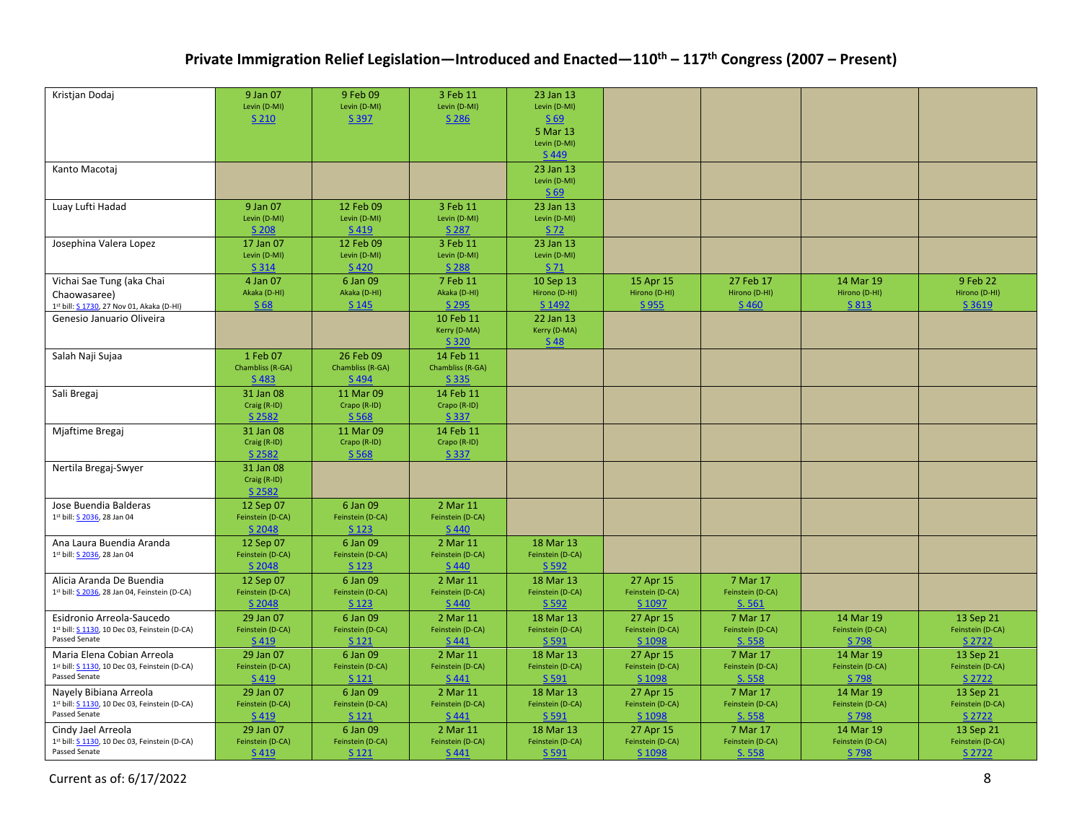| Kristjan Dodaj                                                              | 9 Jan 07<br>Levin (D-MI)        | 9 Feb 09<br>Levin (D-MI)     | 3 Feb 11<br>Levin (D-MI)     | 23 Jan 13<br>Levin (D-MI)     |                               |                              |                               |                               |
|-----------------------------------------------------------------------------|---------------------------------|------------------------------|------------------------------|-------------------------------|-------------------------------|------------------------------|-------------------------------|-------------------------------|
|                                                                             | S 210                           | S 397                        | S 286                        | S 69<br>5 Mar 13              |                               |                              |                               |                               |
|                                                                             |                                 |                              |                              | Levin (D-MI)                  |                               |                              |                               |                               |
| Kanto Macotai                                                               |                                 |                              |                              | S 449<br>23 Jan 13            |                               |                              |                               |                               |
|                                                                             |                                 |                              |                              | Levin (D-MI)                  |                               |                              |                               |                               |
| Luay Lufti Hadad                                                            | 9 Jan 07                        | 12 Feb 09                    | 3 Feb 11                     | S <sub>69</sub><br>23 Jan 13  |                               |                              |                               |                               |
|                                                                             | Levin (D-MI)                    | Levin (D-MI)                 | Levin (D-MI)                 | Levin (D-MI)                  |                               |                              |                               |                               |
|                                                                             | S 208                           | S 419                        | S 287                        | S 72                          |                               |                              |                               |                               |
| Josephina Valera Lopez                                                      | 17 Jan 07<br>Levin (D-MI)       | 12 Feb 09<br>Levin (D-MI)    | 3 Feb 11<br>Levin (D-MI)     | 23 Jan 13<br>Levin (D-MI)     |                               |                              |                               |                               |
|                                                                             | S 314                           | S 420                        | S 288                        | S 71                          |                               |                              |                               |                               |
| Vichai Sae Tung (aka Chai                                                   | 4 Jan 07                        | 6 Jan 09                     | 7 Feb 11                     | 10 Sep 13                     | 15 Apr 15                     | 27 Feb 17                    | 14 Mar 19                     | 9 Feb 22                      |
| Chaowasaree)<br>1st bill: S 1730, 27 Nov 01, Akaka (D-HI)                   | Akaka (D-HI)<br>S <sub>68</sub> | Akaka (D-HI)<br>S 145        | Akaka (D-HI)<br>S 295        | Hirono (D-HI)<br>S 1492       | Hirono (D-HI)<br>S 955        | Hirono (D-HI)<br>S 460       | Hirono (D-HI)<br>S 813        | Hirono (D-HI)<br>S 3619       |
| Genesio Januario Oliveira                                                   |                                 |                              | 10 Feb 11                    | 22 Jan 13                     |                               |                              |                               |                               |
|                                                                             |                                 |                              | Kerry (D-MA)                 | Kerry (D-MA)                  |                               |                              |                               |                               |
|                                                                             | 1 Feb 07                        | 26 Feb 09                    | S 320<br>14 Feb 11           | <b>S48</b>                    |                               |                              |                               |                               |
| Salah Naji Sujaa                                                            | Chambliss (R-GA)                | Chambliss (R-GA)             | Chambliss (R-GA)             |                               |                               |                              |                               |                               |
|                                                                             | S 483                           | S 494                        | S 335                        |                               |                               |                              |                               |                               |
| Sali Bregaj                                                                 | 31 Jan 08                       | 11 Mar 09                    | 14 Feb 11                    |                               |                               |                              |                               |                               |
|                                                                             | Craig (R-ID)<br>S 2582          | Crapo (R-ID)<br>S 568        | Crapo (R-ID)<br>S 337        |                               |                               |                              |                               |                               |
| Mjaftime Bregaj                                                             | 31 Jan 08                       | 11 Mar 09                    | 14 Feb 11                    |                               |                               |                              |                               |                               |
|                                                                             | Craig (R-ID)<br>S 2582          | Crapo (R-ID)<br>S 568        | Crapo (R-ID)<br>S 337        |                               |                               |                              |                               |                               |
| Nertila Bregaj-Swyer                                                        | 31 Jan 08                       |                              |                              |                               |                               |                              |                               |                               |
|                                                                             | Craig (R-ID)                    |                              |                              |                               |                               |                              |                               |                               |
| Jose Buendia Balderas                                                       | S 2582<br>12 Sep 07             | 6 Jan 09                     | 2 Mar 11                     |                               |                               |                              |                               |                               |
| 1st bill: S 2036, 28 Jan 04                                                 | Feinstein (D-CA)                | Feinstein (D-CA)             | Feinstein (D-CA)             |                               |                               |                              |                               |                               |
|                                                                             | S 2048                          | S 123                        | S 440                        |                               |                               |                              |                               |                               |
| Ana Laura Buendia Aranda                                                    | 12 Sep 07                       | 6 Jan 09<br>Feinstein (D-CA) | 2 Mar 11                     | 18 Mar 13<br>Feinstein (D-CA) |                               |                              |                               |                               |
| 1st bill: S 2036, 28 Jan 04                                                 | Feinstein (D-CA)<br>S 2048      | S 123                        | Feinstein (D-CA)<br>S 440    | S 592                         |                               |                              |                               |                               |
| Alicia Aranda De Buendia                                                    | 12 Sep 07                       | 6 Jan 09                     | 2 Mar 11                     | 18 Mar 13                     | 27 Apr 15                     | 7 Mar 17                     |                               |                               |
| 1st bill: S 2036, 28 Jan 04, Feinstein (D-CA)                               | Feinstein (D-CA)<br>S 2048      | Feinstein (D-CA)<br>S 123    | Feinstein (D-CA)<br>S 440    | Feinstein (D-CA)<br>S 592     | Feinstein (D-CA)<br>S 1097    | Feinstein (D-CA)<br>S. 561   |                               |                               |
| Esidronio Arreola-Saucedo                                                   | 29 Jan 07                       | 6 Jan 09                     | 2 Mar 11                     | 18 Mar 13                     | 27 Apr 15                     | 7 Mar 17                     | 14 Mar 19                     | 13 Sep 21                     |
| 1st bill: S 1130, 10 Dec 03, Feinstein (D-CA)                               | Feinstein (D-CA)                | Feinstein (D-CA)             | Feinstein (D-CA)             | Feinstein (D-CA)              | Feinstein (D-CA)              | Feinstein (D-CA)             | Feinstein (D-CA)              | Feinstein (D-CA)              |
| Passed Senate                                                               | S 419                           | S 121                        | S 441                        | S 591                         | S 1098                        | S. 558                       | S 798                         | S 2722                        |
| Maria Elena Cobian Arreola<br>1st bill: S 1130, 10 Dec 03, Feinstein (D-CA) | 29 Jan 07<br>Feinstein (D-CA)   | 6 Jan 09<br>Feinstein (D-CA) | 2 Mar 11<br>Feinstein (D-CA) | 18 Mar 13<br>Feinstein (D-CA) | 27 Apr 15<br>Feinstein (D-CA) | 7 Mar 17<br>Feinstein (D-CA) | 14 Mar 19<br>Feinstein (D-CA) | 13 Sep 21<br>Feinstein (D-CA) |
| Passed Senate                                                               | S 419                           | S 121                        | S 441                        | S 591                         | S 1098                        | S. 558                       | S 798                         | S 2722                        |
| Nayely Bibiana Arreola                                                      | 29 Jan 07                       | 6 Jan 09                     | 2 Mar 11                     | 18 Mar 13                     | 27 Apr 15                     | 7 Mar 17                     | 14 Mar 19                     | 13 Sep 21                     |
| 1st bill: S 1130, 10 Dec 03, Feinstein (D-CA)<br>Passed Senate              | Feinstein (D-CA)                | Feinstein (D-CA)             | Feinstein (D-CA)             | Feinstein (D-CA)              | Feinstein (D-CA)              | Feinstein (D-CA)             | Feinstein (D-CA)              | Feinstein (D-CA)              |
| Cindy Jael Arreola                                                          | S 419<br>29 Jan 07              | S 121<br>6 Jan 09            | S 441<br>2 Mar 11            | S 591<br>18 Mar 13            | S 1098<br>27 Apr 15           | S. 558<br>7 Mar 17           | S 798<br>14 Mar 19            | S 2722<br>13 Sep 21           |
| 1st bill: S 1130, 10 Dec 03, Feinstein (D-CA)                               | Feinstein (D-CA)                | Feinstein (D-CA)             | Feinstein (D-CA)             | Feinstein (D-CA)              | Feinstein (D-CA)              | Feinstein (D-CA)             | Feinstein (D-CA)              | Feinstein (D-CA)              |
| Passed Senate                                                               | S 419                           | S 121                        | S 441                        | S 591                         | S 1098                        | S. 558                       | S 798                         | S 2722                        |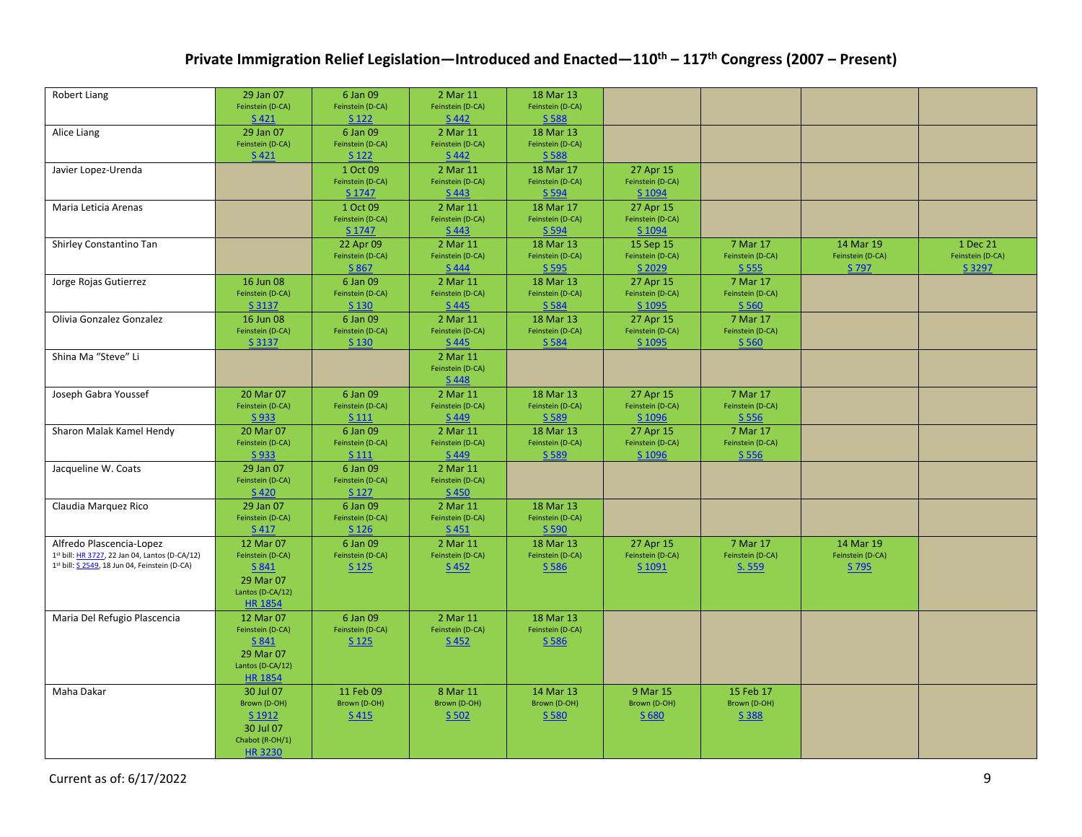| Robert Liang                                   | 29 Jan 07<br>Feinstein (D-CA) | 6 Jan 09<br>Feinstein (D-CA)  | 2 Mar 11<br>Feinstein (D-CA) | 18 Mar 13<br>Feinstein (D-CA) |                               |                              |                               |                              |
|------------------------------------------------|-------------------------------|-------------------------------|------------------------------|-------------------------------|-------------------------------|------------------------------|-------------------------------|------------------------------|
|                                                | S 421                         | S 122                         | S 442                        | S 588                         |                               |                              |                               |                              |
| Alice Liang                                    | 29 Jan 07                     | 6 Jan 09                      | 2 Mar 11                     | 18 Mar 13                     |                               |                              |                               |                              |
|                                                | Feinstein (D-CA)              | Feinstein (D-CA)              | Feinstein (D-CA)             | Feinstein (D-CA)              |                               |                              |                               |                              |
|                                                | S 421                         | S 122                         | S 442                        | S 588                         |                               |                              |                               |                              |
| Javier Lopez-Urenda                            |                               | 1 Oct 09                      | 2 Mar 11                     | 18 Mar 17                     | 27 Apr 15                     |                              |                               |                              |
|                                                |                               | Feinstein (D-CA)              | Feinstein (D-CA)             | Feinstein (D-CA)              | Feinstein (D-CA)              |                              |                               |                              |
|                                                |                               | S 1747                        | S 443                        | S 594                         | S 1094                        |                              |                               |                              |
| Maria Leticia Arenas                           |                               | 1 Oct 09                      | 2 Mar 11                     | 18 Mar 17                     | 27 Apr 15                     |                              |                               |                              |
|                                                |                               | Feinstein (D-CA)              | Feinstein (D-CA)             | Feinstein (D-CA)              | Feinstein (D-CA)              |                              |                               |                              |
|                                                |                               | S 1747                        | S 443                        | S 594                         | S 1094                        |                              |                               |                              |
| Shirley Constantino Tan                        |                               | 22 Apr 09<br>Feinstein (D-CA) | 2 Mar 11<br>Feinstein (D-CA) | 18 Mar 13<br>Feinstein (D-CA) | 15 Sep 15<br>Feinstein (D-CA) | 7 Mar 17<br>Feinstein (D-CA) | 14 Mar 19<br>Feinstein (D-CA) | 1 Dec 21<br>Feinstein (D-CA) |
|                                                |                               | S 867                         | S 444                        | S 595                         | S 2029                        | S 555                        | S 797                         | S 3297                       |
| Jorge Rojas Gutierrez                          | 16 Jun 08                     | 6 Jan 09                      | 2 Mar 11                     | 18 Mar 13                     | 27 Apr 15                     | 7 Mar 17                     |                               |                              |
|                                                | Feinstein (D-CA)              | Feinstein (D-CA)              | Feinstein (D-CA)             | Feinstein (D-CA)              | Feinstein (D-CA)              | Feinstein (D-CA)             |                               |                              |
|                                                | S 3137                        | S 130                         | $S$ 445                      | S 584                         | S 1095                        | S 560                        |                               |                              |
| Olivia Gonzalez Gonzalez                       | 16 Jun 08                     | 6 Jan 09                      | 2 Mar 11                     | 18 Mar 13                     | 27 Apr 15                     | 7 Mar 17                     |                               |                              |
|                                                | Feinstein (D-CA)              | Feinstein (D-CA)              | Feinstein (D-CA)             | Feinstein (D-CA)              | Feinstein (D-CA)              | Feinstein (D-CA)             |                               |                              |
|                                                | S 3137                        | S 130                         | S 445                        | S 584                         | S 1095                        | S 560                        |                               |                              |
| Shina Ma "Steve" Li                            |                               |                               | 2 Mar 11                     |                               |                               |                              |                               |                              |
|                                                |                               |                               | Feinstein (D-CA)             |                               |                               |                              |                               |                              |
|                                                |                               |                               | S 448                        |                               |                               |                              |                               |                              |
| Joseph Gabra Youssef                           | 20 Mar 07                     | 6 Jan 09                      | 2 Mar 11                     | 18 Mar 13                     | 27 Apr 15                     | 7 Mar 17                     |                               |                              |
|                                                | Feinstein (D-CA)              | Feinstein (D-CA)              | Feinstein (D-CA)             | Feinstein (D-CA)              | Feinstein (D-CA)              | Feinstein (D-CA)             |                               |                              |
|                                                | S 933                         | S 111                         | S 449                        | S 589                         | S 1096                        | S 556                        |                               |                              |
| Sharon Malak Kamel Hendy                       | 20 Mar 07                     | 6 Jan 09                      | 2 Mar 11                     | 18 Mar 13                     | 27 Apr 15                     | 7 Mar 17                     |                               |                              |
|                                                | Feinstein (D-CA)              | Feinstein (D-CA)              | Feinstein (D-CA)             | Feinstein (D-CA)              | Feinstein (D-CA)              | Feinstein (D-CA)             |                               |                              |
|                                                | S 933                         | S 111                         | S 449                        | S 589                         | S 1096                        | S 556                        |                               |                              |
| Jacqueline W. Coats                            | 29 Jan 07                     | 6 Jan 09                      | 2 Mar 11                     |                               |                               |                              |                               |                              |
|                                                | Feinstein (D-CA)<br>S 420     | Feinstein (D-CA)              | Feinstein (D-CA)<br>S 450    |                               |                               |                              |                               |                              |
|                                                | 29 Jan 07                     | S 127<br>6 Jan 09             | 2 Mar 11                     | 18 Mar 13                     |                               |                              |                               |                              |
| Claudia Marquez Rico                           | Feinstein (D-CA)              | Feinstein (D-CA)              | Feinstein (D-CA)             | Feinstein (D-CA)              |                               |                              |                               |                              |
|                                                | S 417                         | S 126                         | S 451                        | S 590                         |                               |                              |                               |                              |
| Alfredo Plascencia-Lopez                       | 12 Mar 07                     | 6 Jan 09                      | 2 Mar 11                     | 18 Mar 13                     | 27 Apr 15                     | 7 Mar 17                     | 14 Mar 19                     |                              |
| 1st bill: HR 3727, 22 Jan 04, Lantos (D-CA/12) | Feinstein (D-CA)              | Feinstein (D-CA)              | Feinstein (D-CA)             | Feinstein (D-CA)              | Feinstein (D-CA)              | Feinstein (D-CA)             | Feinstein (D-CA)              |                              |
| 1st bill: S 2549, 18 Jun 04, Feinstein (D-CA)  | S 841                         | S 125                         | S 452                        | S 586                         | S 1091                        | S. 559                       | S 795                         |                              |
|                                                | 29 Mar 07                     |                               |                              |                               |                               |                              |                               |                              |
|                                                | Lantos (D-CA/12)              |                               |                              |                               |                               |                              |                               |                              |
|                                                | <b>HR 1854</b>                |                               |                              |                               |                               |                              |                               |                              |
| Maria Del Refugio Plascencia                   | 12 Mar 07                     | 6 Jan 09                      | 2 Mar 11                     | 18 Mar 13                     |                               |                              |                               |                              |
|                                                | Feinstein (D-CA)              | Feinstein (D-CA)              | Feinstein (D-CA)             | Feinstein (D-CA)              |                               |                              |                               |                              |
|                                                | S 841                         | S 125                         | $S$ 452                      | S 586                         |                               |                              |                               |                              |
|                                                | 29 Mar 07                     |                               |                              |                               |                               |                              |                               |                              |
|                                                | Lantos (D-CA/12)              |                               |                              |                               |                               |                              |                               |                              |
|                                                | <b>HR 1854</b>                |                               |                              |                               |                               |                              |                               |                              |
| Maha Dakar                                     | 30 Jul 07                     | 11 Feb 09                     | 8 Mar 11                     | 14 Mar 13                     | 9 Mar 15                      | 15 Feb 17                    |                               |                              |
|                                                | Brown (D-OH)<br>S 1912        | Brown (D-OH)<br>S 415         | Brown (D-OH)<br>$S$ 502      | Brown (D-OH)<br>S 580         | Brown (D-OH)<br>S 680         | Brown (D-OH)<br>S 388        |                               |                              |
|                                                | 30 Jul 07                     |                               |                              |                               |                               |                              |                               |                              |
|                                                | Chabot (R-OH/1)               |                               |                              |                               |                               |                              |                               |                              |
|                                                | <b>HR3230</b>                 |                               |                              |                               |                               |                              |                               |                              |
|                                                |                               |                               |                              |                               |                               |                              |                               |                              |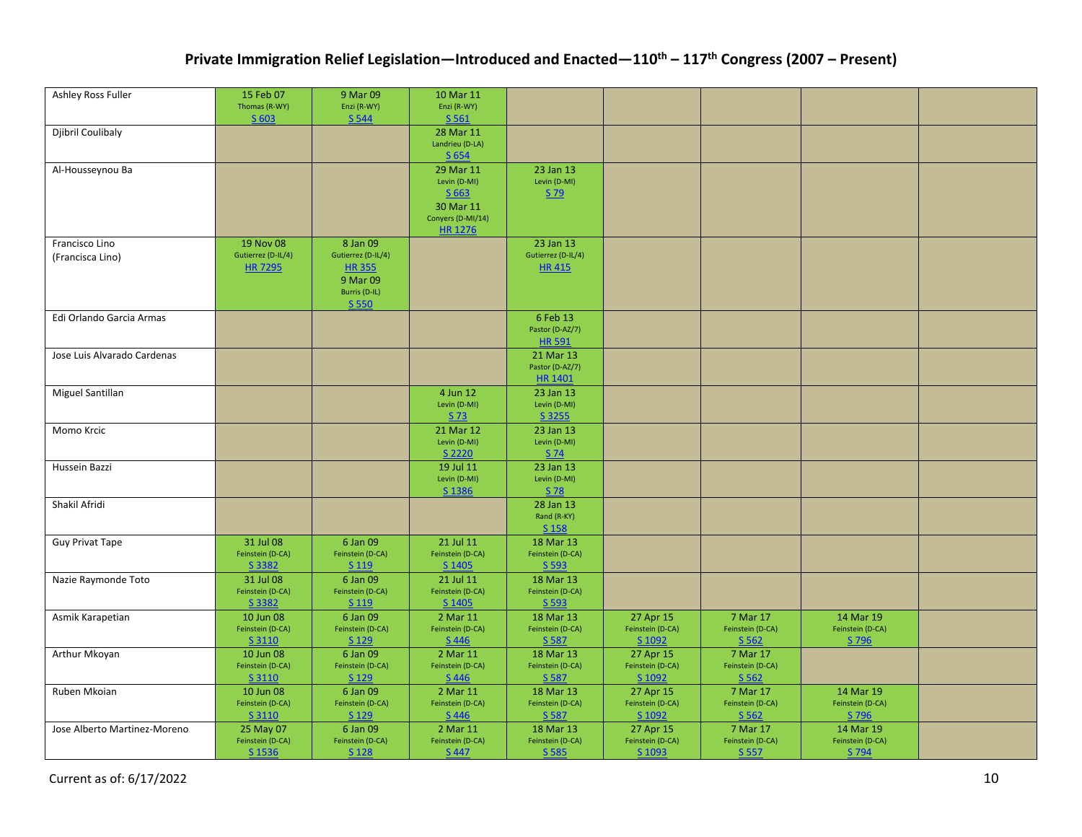| Ashley Ross Fuller                 | 15 Feb 07<br>Thomas (R-WY)                        | 9 Mar 09<br>Enzi (R-WY)                                                              | 10 Mar 11<br>Enzi (R-WY)                                                          |                                                 |                                         |                                       |                                        |  |
|------------------------------------|---------------------------------------------------|--------------------------------------------------------------------------------------|-----------------------------------------------------------------------------------|-------------------------------------------------|-----------------------------------------|---------------------------------------|----------------------------------------|--|
| Djibril Coulibaly                  | S 603                                             | S 544                                                                                | S 561<br>28 Mar 11                                                                |                                                 |                                         |                                       |                                        |  |
|                                    |                                                   |                                                                                      | Landrieu (D-LA)<br>S 654                                                          |                                                 |                                         |                                       |                                        |  |
| Al-Housseynou Ba                   |                                                   |                                                                                      | 29 Mar 11<br>Levin (D-MI)<br>$S$ 663<br>30 Mar 11<br>Conyers (D-MI/14)<br>HR 1276 | 23 Jan 13<br>Levin (D-MI)<br>$S$ 79             |                                         |                                       |                                        |  |
| Francisco Lino<br>(Francisca Lino) | 19 Nov 08<br>Gutierrez (D-IL/4)<br><b>HR 7295</b> | 8 Jan 09<br>Gutierrez (D-IL/4)<br><b>HR355</b><br>9 Mar 09<br>Burris (D-IL)<br>S 550 |                                                                                   | 23 Jan 13<br>Gutierrez (D-IL/4)<br><b>HR415</b> |                                         |                                       |                                        |  |
| Edi Orlando Garcia Armas           |                                                   |                                                                                      |                                                                                   | 6 Feb 13<br>Pastor (D-AZ/7)<br><b>HR 591</b>    |                                         |                                       |                                        |  |
| Jose Luis Alvarado Cardenas        |                                                   |                                                                                      |                                                                                   | 21 Mar 13<br>Pastor (D-AZ/7)<br><b>HR 1401</b>  |                                         |                                       |                                        |  |
| Miguel Santillan                   |                                                   |                                                                                      | 4 Jun 12<br>Levin (D-MI)<br>S 73                                                  | 23 Jan 13<br>Levin (D-MI)<br>S 3255             |                                         |                                       |                                        |  |
| Momo Krcic                         |                                                   |                                                                                      | 21 Mar 12<br>Levin (D-MI)<br>S 2220                                               | 23 Jan 13<br>Levin (D-MI)<br>S 74               |                                         |                                       |                                        |  |
| Hussein Bazzi                      |                                                   |                                                                                      | 19 Jul 11<br>Levin (D-MI)<br>S 1386                                               | 23 Jan 13<br>Levin (D-MI)<br>S 78               |                                         |                                       |                                        |  |
| Shakil Afridi                      |                                                   |                                                                                      |                                                                                   | 28 Jan 13<br>Rand (R-KY)<br>S 158               |                                         |                                       |                                        |  |
| <b>Guy Privat Tape</b>             | 31 Jul 08<br>Feinstein (D-CA)<br>S 3382           | 6 Jan 09<br>Feinstein (D-CA)<br>S 119                                                | 21 Jul 11<br>Feinstein (D-CA)<br>S 1405                                           | 18 Mar 13<br>Feinstein (D-CA)<br>S 593          |                                         |                                       |                                        |  |
| Nazie Raymonde Toto                | 31 Jul 08<br>Feinstein (D-CA)<br>S 3382           | 6 Jan 09<br>Feinstein (D-CA)<br>S 119                                                | 21 Jul 11<br>Feinstein (D-CA)<br>S 1405                                           | 18 Mar 13<br>Feinstein (D-CA)<br>S 593          |                                         |                                       |                                        |  |
| Asmik Karapetian                   | 10 Jun 08<br>Feinstein (D-CA)<br>S 3110           | 6 Jan 09<br>Feinstein (D-CA)<br>S 129                                                | 2 Mar 11<br>Feinstein (D-CA)<br>S 446                                             | 18 Mar 13<br>Feinstein (D-CA)<br>S 587          | 27 Apr 15<br>Feinstein (D-CA)<br>S 1092 | 7 Mar 17<br>Feinstein (D-CA)<br>S 562 | 14 Mar 19<br>Feinstein (D-CA)<br>S 796 |  |
| Arthur Mkoyan                      | 10 Jun 08<br>Feinstein (D-CA)<br>S 3110           | 6 Jan 09<br>Feinstein (D-CA)<br>S 129                                                | 2 Mar 11<br>Feinstein (D-CA)<br>S 446                                             | 18 Mar 13<br>Feinstein (D-CA)<br>S 587          | 27 Apr 15<br>Feinstein (D-CA)<br>S 1092 | 7 Mar 17<br>Feinstein (D-CA)<br>S 562 |                                        |  |
| Ruben Mkoian                       | 10 Jun 08<br>Feinstein (D-CA)<br>S 3110           | 6 Jan 09<br>Feinstein (D-CA)<br>S 129                                                | 2 Mar 11<br>Feinstein (D-CA)<br>$S$ 446                                           | 18 Mar 13<br>Feinstein (D-CA)<br>S 587          | 27 Apr 15<br>Feinstein (D-CA)<br>S 1092 | 7 Mar 17<br>Feinstein (D-CA)<br>S 562 | 14 Mar 19<br>Feinstein (D-CA)<br>S 796 |  |
| Jose Alberto Martinez-Moreno       | 25 May 07<br>Feinstein (D-CA)<br>S 1536           | 6 Jan 09<br>Feinstein (D-CA)<br>S 128                                                | 2 Mar 11<br>Feinstein (D-CA)<br>S 447                                             | 18 Mar 13<br>Feinstein (D-CA)<br>S 585          | 27 Apr 15<br>Feinstein (D-CA)<br>S 1093 | 7 Mar 17<br>Feinstein (D-CA)<br>S 557 | 14 Mar 19<br>Feinstein (D-CA)<br>S 794 |  |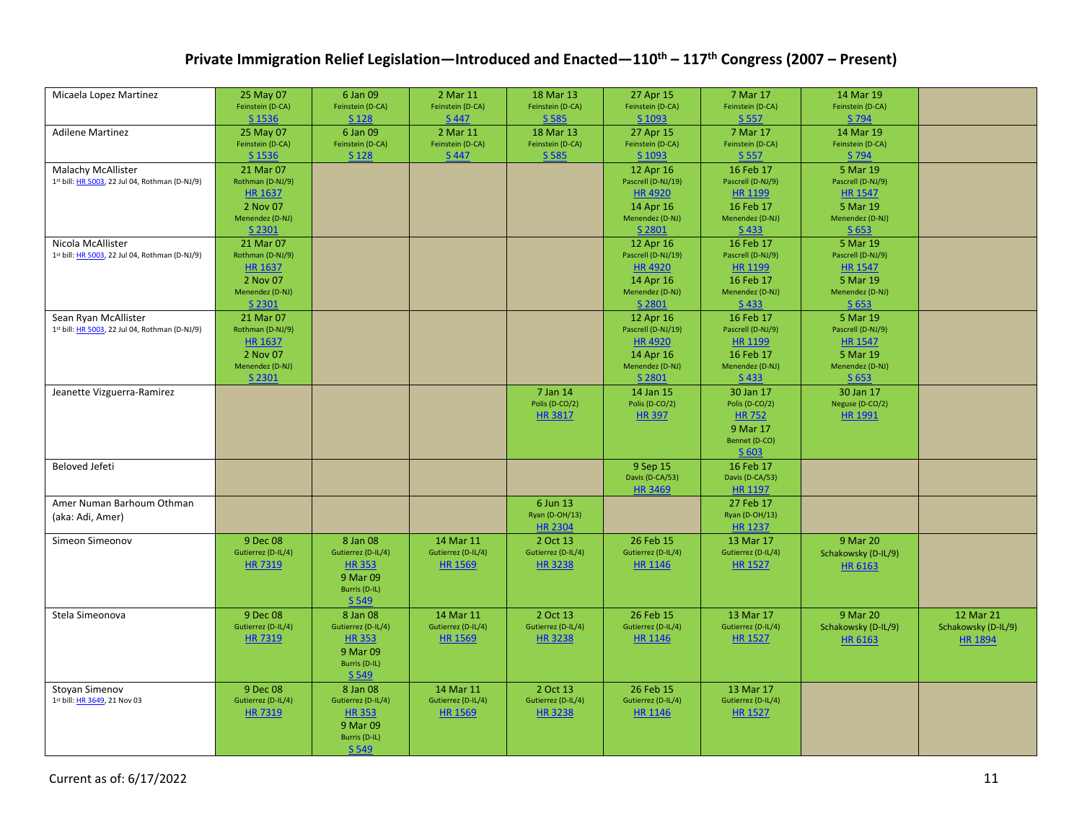|                                                |                    |                    |                    |                    | 27 Apr 15          |                    |                     |                     |
|------------------------------------------------|--------------------|--------------------|--------------------|--------------------|--------------------|--------------------|---------------------|---------------------|
| Micaela Lopez Martinez                         | 25 May 07          | 6 Jan 09           | 2 Mar 11           | 18 Mar 13          |                    | 7 Mar 17           | 14 Mar 19           |                     |
|                                                | Feinstein (D-CA)   | Feinstein (D-CA)   | Feinstein (D-CA)   | Feinstein (D-CA)   | Feinstein (D-CA)   | Feinstein (D-CA)   | Feinstein (D-CA)    |                     |
|                                                | S 1536             | S 128              | S 447              | S 585              | S 1093             | S 557              | S 794               |                     |
| <b>Adilene Martinez</b>                        | 25 May 07          | 6 Jan 09           | 2 Mar 11           | 18 Mar 13          | 27 Apr 15          | 7 Mar 17           | 14 Mar 19           |                     |
|                                                | Feinstein (D-CA)   | Feinstein (D-CA)   | Feinstein (D-CA)   | Feinstein (D-CA)   | Feinstein (D-CA)   | Feinstein (D-CA)   | Feinstein (D-CA)    |                     |
|                                                | S 1536             | S 128              | S 447              | S 585              | S 1093             | S 557              | S 794               |                     |
| <b>Malachy McAllister</b>                      | 21 Mar 07          |                    |                    |                    | 12 Apr 16          | 16 Feb 17          | 5 Mar 19            |                     |
| 1st bill: HR 5003, 22 Jul 04, Rothman (D-NJ/9) | Rothman (D-NJ/9)   |                    |                    |                    | Pascrell (D-NJ/19) | Pascrell (D-NJ/9)  | Pascrell (D-NJ/9)   |                     |
|                                                | <b>HR 1637</b>     |                    |                    |                    | <b>HR4920</b>      | <b>HR 1199</b>     | <b>HR 1547</b>      |                     |
|                                                | 2 Nov 07           |                    |                    |                    | 14 Apr 16          | 16 Feb 17          | 5 Mar 19            |                     |
|                                                | Menendez (D-NJ)    |                    |                    |                    | Menendez (D-NJ)    | Menendez (D-NJ)    | Menendez (D-NJ)     |                     |
|                                                | S 2301             |                    |                    |                    | S 2801             | S 433              | S 653               |                     |
| Nicola McAllister                              | 21 Mar 07          |                    |                    |                    | 12 Apr 16          | 16 Feb 17          | 5 Mar 19            |                     |
| 1st bill: HR 5003, 22 Jul 04, Rothman (D-NJ/9) | Rothman (D-NJ/9)   |                    |                    |                    | Pascrell (D-NJ/19) | Pascrell (D-NJ/9)  | Pascrell (D-NJ/9)   |                     |
|                                                | <b>HR 1637</b>     |                    |                    |                    | <b>HR4920</b>      | HR 1199            | <b>HR 1547</b>      |                     |
|                                                | 2 Nov 07           |                    |                    |                    | 14 Apr 16          | 16 Feb 17          | 5 Mar 19            |                     |
|                                                | Menendez (D-NJ)    |                    |                    |                    | Menendez (D-NJ)    | Menendez (D-NJ)    | Menendez (D-NJ)     |                     |
|                                                | S 2301             |                    |                    |                    | S 2801             | S433               | S 653               |                     |
| Sean Ryan McAllister                           | 21 Mar 07          |                    |                    |                    | 12 Apr 16          | 16 Feb 17          | 5 Mar 19            |                     |
| 1st bill: HR 5003, 22 Jul 04, Rothman (D-NJ/9) | Rothman (D-NJ/9)   |                    |                    |                    | Pascrell (D-NJ/19) | Pascrell (D-NJ/9)  | Pascrell (D-NJ/9)   |                     |
|                                                | <b>HR 1637</b>     |                    |                    |                    | <b>HR4920</b>      | <b>HR 1199</b>     | <b>HR 1547</b>      |                     |
|                                                |                    |                    |                    |                    |                    |                    |                     |                     |
|                                                | 2 Nov 07           |                    |                    |                    | 14 Apr 16          | 16 Feb 17          | 5 Mar 19            |                     |
|                                                | Menendez (D-NJ)    |                    |                    |                    | Menendez (D-NJ)    | Menendez (D-NJ)    | Menendez (D-NJ)     |                     |
|                                                | S 2301             |                    |                    |                    | S 2801             | S433               | S 653               |                     |
| Jeanette Vizguerra-Ramirez                     |                    |                    |                    | 7 Jan 14           | 14 Jan 15          | 30 Jan 17          | 30 Jan 17           |                     |
|                                                |                    |                    |                    | Polis (D-CO/2)     | Polis (D-CO/2)     | Polis (D-CO/2)     | Neguse (D-CO/2)     |                     |
|                                                |                    |                    |                    | <b>HR 3817</b>     | <b>HR 397</b>      | <b>HR 752</b>      | <b>HR 1991</b>      |                     |
|                                                |                    |                    |                    |                    |                    | 9 Mar 17           |                     |                     |
|                                                |                    |                    |                    |                    |                    | Bennet (D-CO)      |                     |                     |
|                                                |                    |                    |                    |                    |                    | S 603              |                     |                     |
| Beloved Jefeti                                 |                    |                    |                    |                    | 9 Sep 15           | 16 Feb 17          |                     |                     |
|                                                |                    |                    |                    |                    | Davis (D-CA/53)    | Davis (D-CA/53)    |                     |                     |
|                                                |                    |                    |                    |                    | <b>HR 3469</b>     | <b>HR 1197</b>     |                     |                     |
| Amer Numan Barhoum Othman                      |                    |                    |                    | 6 Jun 13           |                    | 27 Feb 17          |                     |                     |
| (aka: Adi, Amer)                               |                    |                    |                    | Ryan (D-OH/13)     |                    | Ryan (D-OH/13)     |                     |                     |
|                                                |                    |                    |                    | <b>HR 2304</b>     |                    | <b>HR 1237</b>     |                     |                     |
| Simeon Simeonov                                | 9 Dec 08           | 8 Jan 08           | 14 Mar 11          | 2 Oct 13           | 26 Feb 15          | 13 Mar 17          | 9 Mar 20            |                     |
|                                                | Gutierrez (D-IL/4) | Gutierrez (D-IL/4) | Gutierrez (D-IL/4) | Gutierrez (D-IL/4) | Gutierrez (D-IL/4) | Gutierrez (D-IL/4) | Schakowsky (D-IL/9) |                     |
|                                                | <b>HR7319</b>      | <b>HR353</b>       | <b>HR 1569</b>     | <b>HR3238</b>      | <b>HR 1146</b>     | <b>HR 1527</b>     | <b>HR 6163</b>      |                     |
|                                                |                    | 9 Mar 09           |                    |                    |                    |                    |                     |                     |
|                                                |                    | Burris (D-IL)      |                    |                    |                    |                    |                     |                     |
|                                                |                    | S 549              |                    |                    |                    |                    |                     |                     |
| Stela Simeonova                                | 9 Dec 08           | 8 Jan 08           | 14 Mar 11          | 2 Oct 13           | 26 Feb 15          | 13 Mar 17          | 9 Mar 20            | 12 Mar 21           |
|                                                | Gutierrez (D-IL/4) | Gutierrez (D-IL/4) | Gutierrez (D-IL/4) | Gutierrez (D-IL/4) | Gutierrez (D-IL/4) | Gutierrez (D-IL/4) | Schakowsky (D-IL/9) | Schakowsky (D-IL/9) |
|                                                | <b>HR7319</b>      | <b>HR353</b>       | <b>HR 1569</b>     | <b>HR3238</b>      | <b>HR 1146</b>     | <b>HR 1527</b>     | <b>HR 6163</b>      | <b>HR 1894</b>      |
|                                                |                    | 9 Mar 09           |                    |                    |                    |                    |                     |                     |
|                                                |                    | Burris (D-IL)      |                    |                    |                    |                    |                     |                     |
|                                                |                    | S 549              |                    |                    |                    |                    |                     |                     |
| Stoyan Simenov                                 | 9 Dec 08           | 8 Jan 08           | 14 Mar 11          | 2 Oct 13           | 26 Feb 15          | 13 Mar 17          |                     |                     |
| 1st bill: HR 3649, 21 Nov 03                   | Gutierrez (D-IL/4) | Gutierrez (D-IL/4) | Gutierrez (D-IL/4) | Gutierrez (D-IL/4) | Gutierrez (D-IL/4) | Gutierrez (D-IL/4) |                     |                     |
|                                                | <b>HR7319</b>      | <b>HR 353</b>      | HR 1569            | <b>HR3238</b>      | <b>HR 1146</b>     | <b>HR 1527</b>     |                     |                     |
|                                                |                    | 9 Mar 09           |                    |                    |                    |                    |                     |                     |
|                                                |                    | Burris (D-IL)      |                    |                    |                    |                    |                     |                     |
|                                                |                    |                    |                    |                    |                    |                    |                     |                     |
|                                                |                    | S 549              |                    |                    |                    |                    |                     |                     |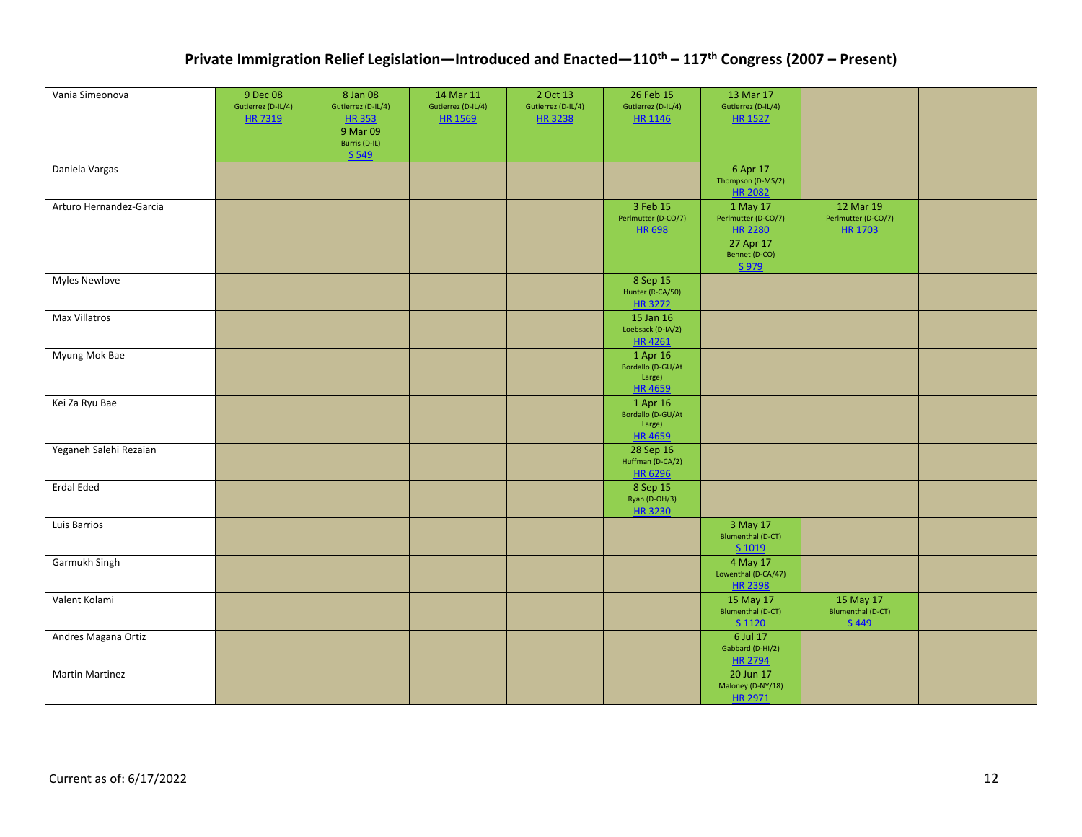| Vania Simeonova         | 9 Dec 08<br>Gutierrez (D-IL/4) | 8 Jan 08<br>Gutierrez (D-IL/4)            | 14 Mar 11<br>Gutierrez (D-IL/4) | 2 Oct 13<br>Gutierrez (D-IL/4) | 26 Feb 15<br>Gutierrez (D-IL/4)                          | 13 Mar 17<br>Gutierrez (D-IL/4)                                                                 |                                                |  |
|-------------------------|--------------------------------|-------------------------------------------|---------------------------------|--------------------------------|----------------------------------------------------------|-------------------------------------------------------------------------------------------------|------------------------------------------------|--|
|                         | HR 7319                        | <b>HR353</b><br>9 Mar 09<br>Burris (D-IL) | HR 1569                         | HR 3238                        | HR 1146                                                  | <b>HR 1527</b>                                                                                  |                                                |  |
|                         |                                | S 549                                     |                                 |                                |                                                          |                                                                                                 |                                                |  |
| Daniela Vargas          |                                |                                           |                                 |                                |                                                          | 6 Apr 17<br>Thompson (D-MS/2)<br><b>HR 2082</b>                                                 |                                                |  |
| Arturo Hernandez-Garcia |                                |                                           |                                 |                                | 3 Feb 15<br>Perlmutter (D-CO/7)<br><b>HR 698</b>         | 1 May 17<br>Perlmutter (D-CO/7)<br><b>HR 2280</b><br>27 Apr 17<br>Bennet (D-CO)<br><u>S 979</u> | 12 Mar 19<br>Perlmutter (D-CO/7)<br>HR 1703    |  |
| <b>Myles Newlove</b>    |                                |                                           |                                 |                                | 8 Sep 15<br>Hunter (R-CA/50)<br>HR 3272                  |                                                                                                 |                                                |  |
| Max Villatros           |                                |                                           |                                 |                                | 15 Jan 16<br>Loebsack (D-IA/2)<br>HR 4261                |                                                                                                 |                                                |  |
| Myung Mok Bae           |                                |                                           |                                 |                                | 1 Apr 16<br>Bordallo (D-GU/At<br>Large)<br><b>HR4659</b> |                                                                                                 |                                                |  |
| Kei Za Ryu Bae          |                                |                                           |                                 |                                | 1 Apr 16<br>Bordallo (D-GU/At<br>Large)<br><b>HR4659</b> |                                                                                                 |                                                |  |
| Yeganeh Salehi Rezaian  |                                |                                           |                                 |                                | 28 Sep 16<br>Huffman (D-CA/2)<br>HR 6296                 |                                                                                                 |                                                |  |
| <b>Erdal Eded</b>       |                                |                                           |                                 |                                | 8 Sep 15<br>Ryan (D-OH/3)<br>HR 3230                     |                                                                                                 |                                                |  |
| Luis Barrios            |                                |                                           |                                 |                                |                                                          | 3 May 17<br>Blumenthal (D-CT)<br>S 1019                                                         |                                                |  |
| Garmukh Singh           |                                |                                           |                                 |                                |                                                          | 4 May 17<br>Lowenthal (D-CA/47)<br><b>HR 2398</b>                                               |                                                |  |
| Valent Kolami           |                                |                                           |                                 |                                |                                                          | 15 May 17<br><b>Blumenthal (D-CT)</b><br>$S$ 1120                                               | 15 May 17<br><b>Blumenthal (D-CT)</b><br>S 449 |  |
| Andres Magana Ortiz     |                                |                                           |                                 |                                |                                                          | 6 Jul 17<br>Gabbard (D-HI/2)<br><b>HR 2794</b>                                                  |                                                |  |
| <b>Martin Martinez</b>  |                                |                                           |                                 |                                |                                                          | 20 Jun 17<br>Maloney (D-NY/18)<br>HR 2971                                                       |                                                |  |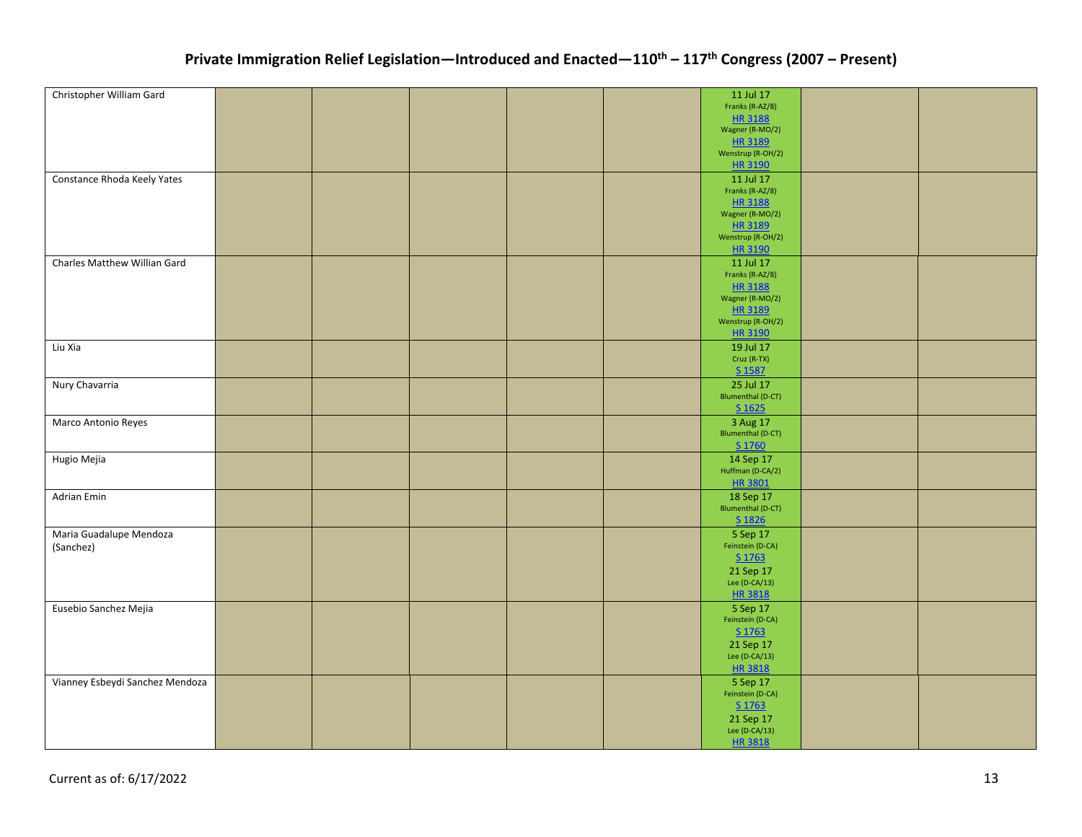| Christopher William Gard        |  |  | 11 Jul 17                  |  |
|---------------------------------|--|--|----------------------------|--|
|                                 |  |  | Franks (R-AZ/8)            |  |
|                                 |  |  | HR 3188                    |  |
|                                 |  |  | Wagner (R-MO/2)            |  |
|                                 |  |  | HR 3189                    |  |
|                                 |  |  | Wenstrup (R-OH/2)          |  |
|                                 |  |  | HR 3190                    |  |
| Constance Rhoda Keely Yates     |  |  | 11 Jul 17                  |  |
|                                 |  |  | Franks (R-AZ/8)            |  |
|                                 |  |  | HR 3188<br>Wagner (R-MO/2) |  |
|                                 |  |  | HR 3189                    |  |
|                                 |  |  | Wenstrup (R-OH/2)          |  |
|                                 |  |  | HR 3190                    |  |
| Charles Matthew Willian Gard    |  |  | 11 Jul 17                  |  |
|                                 |  |  | Franks (R-AZ/8)            |  |
|                                 |  |  | HR 3188                    |  |
|                                 |  |  | Wagner (R-MO/2)            |  |
|                                 |  |  | HR 3189                    |  |
|                                 |  |  | Wenstrup (R-OH/2)          |  |
|                                 |  |  | HR 3190                    |  |
| Liu Xia                         |  |  | 19 Jul 17                  |  |
|                                 |  |  | Cruz (R-TX)                |  |
|                                 |  |  | S 1587                     |  |
| Nury Chavarria                  |  |  | 25 Jul 17                  |  |
|                                 |  |  | Blumenthal (D-CT)          |  |
|                                 |  |  | $S$ 1625                   |  |
| Marco Antonio Reyes             |  |  | 3 Aug 17                   |  |
|                                 |  |  | Blumenthal (D-CT)          |  |
|                                 |  |  | S 1760                     |  |
| Hugio Mejia                     |  |  | 14 Sep 17                  |  |
|                                 |  |  | Huffman (D-CA/2)           |  |
|                                 |  |  | HR 3801                    |  |
| Adrian Emin                     |  |  | 18 Sep 17                  |  |
|                                 |  |  | <b>Blumenthal (D-CT)</b>   |  |
|                                 |  |  | S 1826                     |  |
| Maria Guadalupe Mendoza         |  |  | 5 Sep 17                   |  |
| (Sanchez)                       |  |  | Feinstein (D-CA)           |  |
|                                 |  |  | S 1763                     |  |
|                                 |  |  | 21 Sep 17                  |  |
|                                 |  |  | Lee $(D-CA/13)$            |  |
|                                 |  |  | HR 3818                    |  |
| Eusebio Sanchez Mejia           |  |  | 5 Sep 17                   |  |
|                                 |  |  | Feinstein (D-CA)           |  |
|                                 |  |  | S 1763                     |  |
|                                 |  |  | 21 Sep 17                  |  |
|                                 |  |  | Lee $(D-CA/13)$            |  |
|                                 |  |  | HR 3818                    |  |
| Vianney Esbeydi Sanchez Mendoza |  |  | 5 Sep 17                   |  |
|                                 |  |  | Feinstein (D-CA)           |  |
|                                 |  |  | $S$ 1763                   |  |
|                                 |  |  | 21 Sep 17                  |  |
|                                 |  |  | Lee $(D-CA/13)$            |  |
|                                 |  |  | HR 3818                    |  |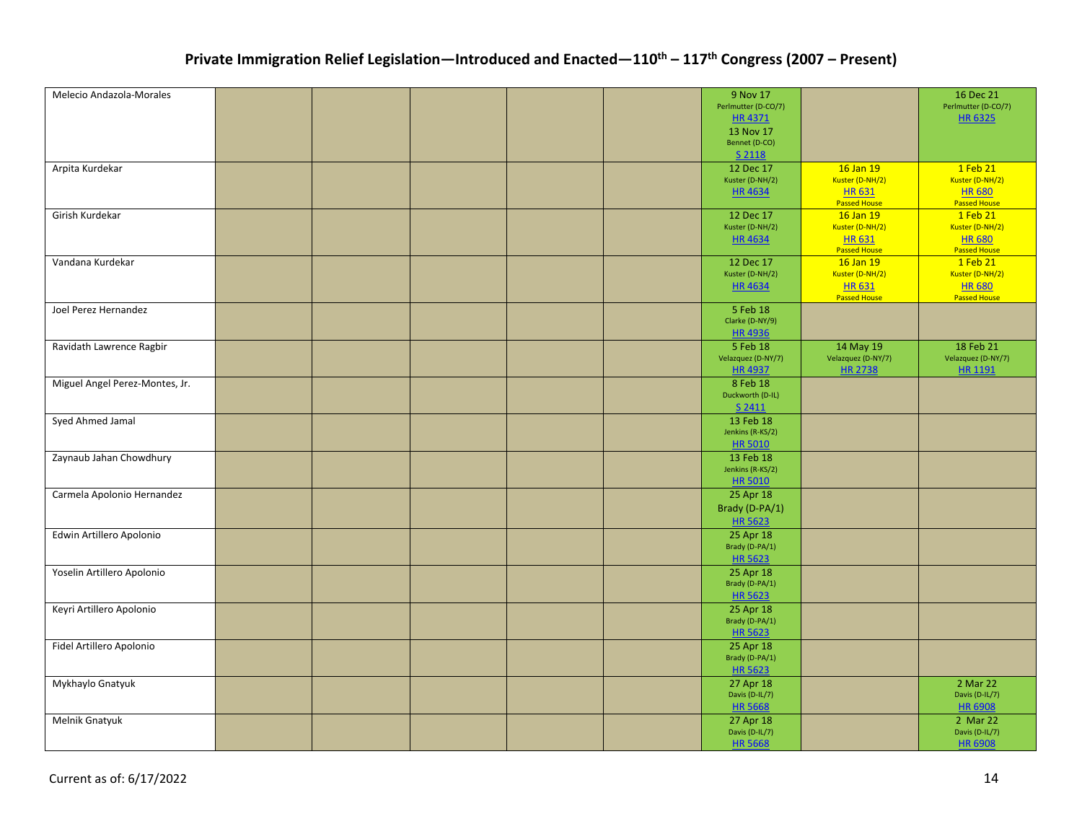| Melecio Andazola-Morales       |  |  | 9 Nov 17                     |                              | 16 Dec 21                   |
|--------------------------------|--|--|------------------------------|------------------------------|-----------------------------|
|                                |  |  | Perlmutter (D-CO/7)          |                              | Perlmutter (D-CO/7)         |
|                                |  |  | <b>HR4371</b>                |                              | <b>HR6325</b>               |
|                                |  |  | 13 Nov 17                    |                              |                             |
|                                |  |  | Bennet (D-CO)                |                              |                             |
|                                |  |  | S 2118                       |                              |                             |
| Arpita Kurdekar                |  |  | 12 Dec 17                    | 16 Jan 19                    | 1 Feb 21                    |
|                                |  |  | Kuster (D-NH/2)              | Kuster (D-NH/2)              | Kuster (D-NH/2)             |
|                                |  |  | HR 4634                      | <b>HR631</b>                 | <b>HR680</b>                |
|                                |  |  |                              | <b>Passed House</b>          | <b>Passed House</b>         |
| Girish Kurdekar                |  |  | 12 Dec 17<br>Kuster (D-NH/2) | 16 Jan 19<br>Kuster (D-NH/2) | 1 Feb 21<br>Kuster (D-NH/2) |
|                                |  |  | <b>HR4634</b>                | <b>HR631</b>                 | <b>HR 680</b>               |
|                                |  |  |                              | <b>Passed House</b>          | <b>Passed House</b>         |
| Vandana Kurdekar               |  |  | 12 Dec 17                    | 16 Jan 19                    | 1 Feb 21                    |
|                                |  |  | Kuster (D-NH/2)              | Kuster (D-NH/2)              | Kuster (D-NH/2)             |
|                                |  |  | <b>HR4634</b>                | <b>HR631</b>                 | <b>HR680</b>                |
|                                |  |  |                              | <b>Passed House</b>          | <b>Passed House</b>         |
| Joel Perez Hernandez           |  |  | 5 Feb 18                     |                              |                             |
|                                |  |  | Clarke (D-NY/9)              |                              |                             |
|                                |  |  | HR 4936                      |                              |                             |
| Ravidath Lawrence Ragbir       |  |  | 5 Feb 18                     | 14 May 19                    | 18 Feb 21                   |
|                                |  |  | Velazquez (D-NY/7)           | Velazquez (D-NY/7)           | Velazquez (D-NY/7)          |
|                                |  |  | <b>HR4937</b>                | <b>HR 2738</b>               | HR 1191                     |
| Miguel Angel Perez-Montes, Jr. |  |  | 8 Feb 18                     |                              |                             |
|                                |  |  | Duckworth (D-IL)             |                              |                             |
|                                |  |  | S 2411                       |                              |                             |
| Syed Ahmed Jamal               |  |  | 13 Feb 18                    |                              |                             |
|                                |  |  | Jenkins (R-KS/2)             |                              |                             |
|                                |  |  | <b>HR 5010</b>               |                              |                             |
| Zaynaub Jahan Chowdhury        |  |  | 13 Feb 18                    |                              |                             |
|                                |  |  | Jenkins (R-KS/2)             |                              |                             |
|                                |  |  | <b>HR 5010</b>               |                              |                             |
| Carmela Apolonio Hernandez     |  |  | 25 Apr 18                    |                              |                             |
|                                |  |  | Brady (D-PA/1)               |                              |                             |
|                                |  |  | <b>HR 5623</b>               |                              |                             |
| Edwin Artillero Apolonio       |  |  | 25 Apr 18                    |                              |                             |
|                                |  |  | Brady (D-PA/1)               |                              |                             |
|                                |  |  | <b>HR 5623</b>               |                              |                             |
| Yoselin Artillero Apolonio     |  |  | 25 Apr 18                    |                              |                             |
|                                |  |  | Brady (D-PA/1)               |                              |                             |
|                                |  |  | <b>HR 5623</b>               |                              |                             |
| Keyri Artillero Apolonio       |  |  | 25 Apr 18<br>Brady (D-PA/1)  |                              |                             |
|                                |  |  | <b>HR 5623</b>               |                              |                             |
| Fidel Artillero Apolonio       |  |  |                              |                              |                             |
|                                |  |  | 25 Apr 18<br>Brady (D-PA/1)  |                              |                             |
|                                |  |  | <b>HR 5623</b>               |                              |                             |
| Mykhaylo Gnatyuk               |  |  | 27 Apr 18                    |                              | 2 Mar 22                    |
|                                |  |  | Davis (D-IL/7)               |                              | Davis (D-IL/7)              |
|                                |  |  | <b>HR 5668</b>               |                              | <b>HR 6908</b>              |
| Melnik Gnatyuk                 |  |  | 27 Apr 18                    |                              | 2 Mar 22                    |
|                                |  |  | Davis (D-IL/7)               |                              | Davis (D-IL/7)              |
|                                |  |  | <b>HR 5668</b>               |                              | <b>HR 6908</b>              |
|                                |  |  |                              |                              |                             |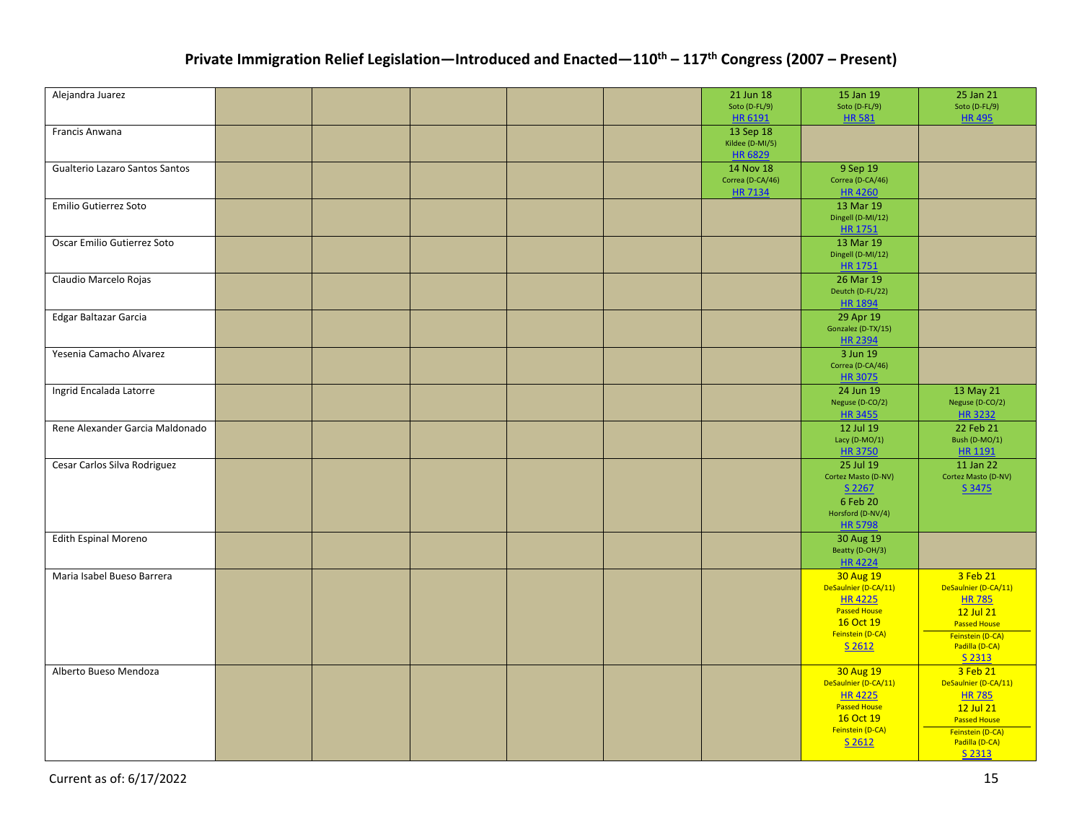| Alejandra Juarez                |  |  | 21 Jun 18<br>Soto (D-FL/9)  | 15 Jan 19<br>Soto (D-FL/9)           | 25 Jan 21<br>Soto (D-FL/9)       |
|---------------------------------|--|--|-----------------------------|--------------------------------------|----------------------------------|
|                                 |  |  | HR 6191                     | <b>HR581</b>                         | <b>HR495</b>                     |
| Francis Anwana                  |  |  | 13 Sep 18                   |                                      |                                  |
|                                 |  |  | Kildee (D-MI/5)             |                                      |                                  |
|                                 |  |  | HR 6829                     |                                      |                                  |
| Gualterio Lazaro Santos Santos  |  |  | 14 Nov 18                   | 9 Sep 19                             |                                  |
|                                 |  |  | Correa (D-CA/46)<br>HR 7134 | Correa (D-CA/46)<br><b>HR4260</b>    |                                  |
| Emilio Gutierrez Soto           |  |  |                             | 13 Mar 19                            |                                  |
|                                 |  |  |                             | Dingell (D-MI/12)                    |                                  |
|                                 |  |  |                             | HR 1751                              |                                  |
| Oscar Emilio Gutierrez Soto     |  |  |                             | 13 Mar 19                            |                                  |
|                                 |  |  |                             | Dingell (D-MI/12)                    |                                  |
|                                 |  |  |                             | HR 1751                              |                                  |
| Claudio Marcelo Rojas           |  |  |                             | 26 Mar 19                            |                                  |
|                                 |  |  |                             | Deutch (D-FL/22)                     |                                  |
|                                 |  |  |                             | <b>HR 1894</b>                       |                                  |
| Edgar Baltazar Garcia           |  |  |                             | 29 Apr 19                            |                                  |
|                                 |  |  |                             | Gonzalez (D-TX/15)<br><b>HR 2394</b> |                                  |
| Yesenia Camacho Alvarez         |  |  |                             | 3 Jun 19                             |                                  |
|                                 |  |  |                             | Correa (D-CA/46)                     |                                  |
|                                 |  |  |                             | <b>HR 3075</b>                       |                                  |
| Ingrid Encalada Latorre         |  |  |                             | 24 Jun 19                            | 13 May 21                        |
|                                 |  |  |                             | Neguse (D-CO/2)                      | Neguse (D-CO/2)                  |
|                                 |  |  |                             | <b>HR 3455</b>                       | <b>HR3232</b>                    |
| Rene Alexander Garcia Maldonado |  |  |                             | 12 Jul 19                            | 22 Feb 21                        |
|                                 |  |  |                             | Lacy (D-MO/1)                        | Bush (D-MO/1)                    |
|                                 |  |  |                             | <b>HR3750</b>                        | HR 1191                          |
| Cesar Carlos Silva Rodriguez    |  |  |                             | 25 Jul 19                            | 11 Jan 22                        |
|                                 |  |  |                             | Cortez Masto (D-NV)<br>S 2267        | Cortez Masto (D-NV)<br>S 3475    |
|                                 |  |  |                             | 6 Feb 20                             |                                  |
|                                 |  |  |                             | Horsford (D-NV/4)                    |                                  |
|                                 |  |  |                             | <b>HR 5798</b>                       |                                  |
| <b>Edith Espinal Moreno</b>     |  |  |                             | 30 Aug 19                            |                                  |
|                                 |  |  |                             | Beatty (D-OH/3)                      |                                  |
|                                 |  |  |                             | <b>HR4224</b>                        |                                  |
| Maria Isabel Bueso Barrera      |  |  |                             | 30 Aug 19                            | 3 Feb 21                         |
|                                 |  |  |                             | DeSaulnier (D-CA/11)                 | DeSaulnier (D-CA/11)             |
|                                 |  |  |                             | <b>HR4225</b><br><b>Passed House</b> | <b>HR 785</b><br>12 Jul 21       |
|                                 |  |  |                             | 16 Oct 19                            | <b>Passed House</b>              |
|                                 |  |  |                             | Feinstein (D-CA)                     | Feinstein (D-CA)                 |
|                                 |  |  |                             | S 2612                               | Padilla (D-CA)                   |
|                                 |  |  |                             |                                      | S 2313                           |
| Alberto Bueso Mendoza           |  |  |                             | 30 Aug 19                            | 3 Feb 21                         |
|                                 |  |  |                             | DeSaulnier (D-CA/11)                 | DeSaulnier (D-CA/11)             |
|                                 |  |  |                             | <b>HR4225</b><br><b>Passed House</b> | <b>HR 785</b>                    |
|                                 |  |  |                             | 16 Oct 19                            | 12 Jul 21<br><b>Passed House</b> |
|                                 |  |  |                             | Feinstein (D-CA)                     | Feinstein (D-CA)                 |
|                                 |  |  |                             | S 2612                               | Padilla (D-CA)                   |
|                                 |  |  |                             |                                      | S 2313                           |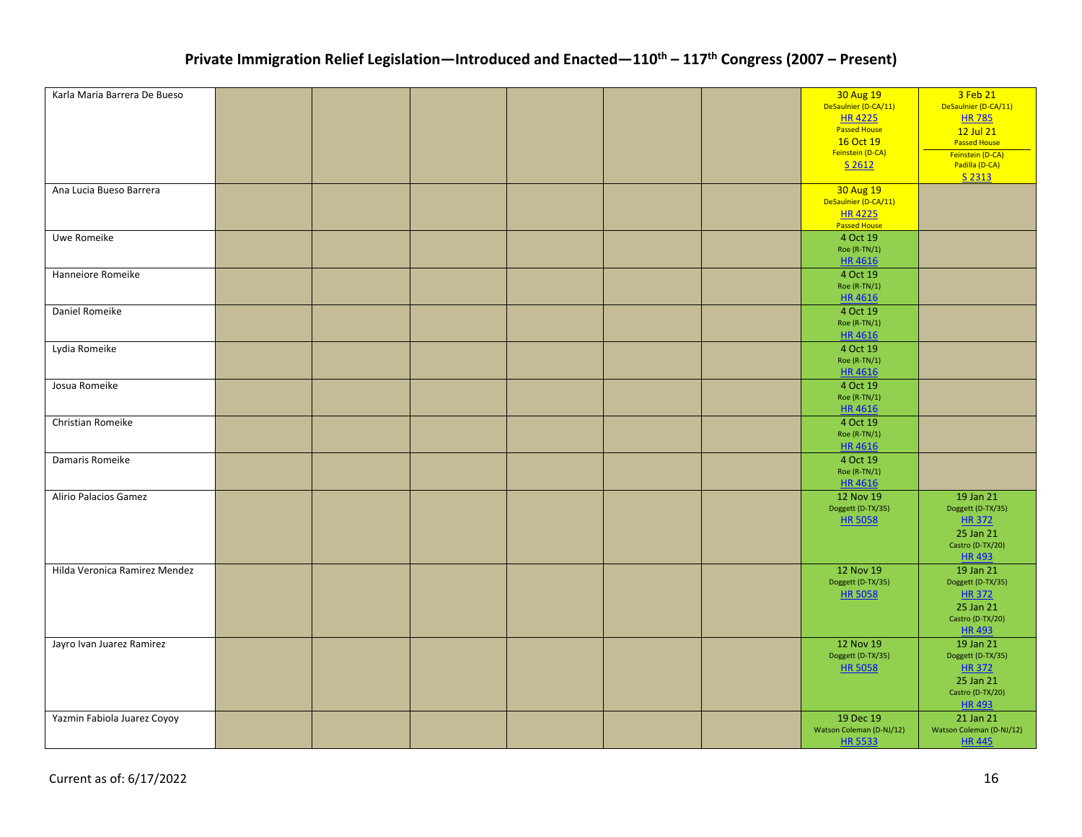| Karla Maria Barrera De Bueso  |  |  |  | 30 Aug 19                | 3 Feb 21                 |
|-------------------------------|--|--|--|--------------------------|--------------------------|
|                               |  |  |  | DeSaulnier (D-CA/11)     | DeSaulnier (D-CA/11)     |
|                               |  |  |  | <b>HR4225</b>            | <b>HR 785</b>            |
|                               |  |  |  | <b>Passed House</b>      | 12 Jul 21                |
|                               |  |  |  | 16 Oct 19                | <b>Passed House</b>      |
|                               |  |  |  | Feinstein (D-CA)         | Feinstein (D-CA)         |
|                               |  |  |  | S 2612                   | Padilla (D-CA)           |
|                               |  |  |  |                          | S 2313                   |
| Ana Lucia Bueso Barrera       |  |  |  | 30 Aug 19                |                          |
|                               |  |  |  | DeSaulnier (D-CA/11)     |                          |
|                               |  |  |  |                          |                          |
|                               |  |  |  | HR 4225<br>Passed House  |                          |
| Uwe Romeike                   |  |  |  | 4 Oct 19                 |                          |
|                               |  |  |  | Roe (R-TN/1)             |                          |
|                               |  |  |  | <b>HR4616</b>            |                          |
| Hanneiore Romeike             |  |  |  | 4 Oct 19                 |                          |
|                               |  |  |  | Roe (R-TN/1)             |                          |
|                               |  |  |  | HR 4616                  |                          |
|                               |  |  |  |                          |                          |
| Daniel Romeike                |  |  |  | 4 Oct 19                 |                          |
|                               |  |  |  | Roe (R-TN/1)             |                          |
|                               |  |  |  | HR 4616                  |                          |
| Lydia Romeike                 |  |  |  | 4 Oct 19                 |                          |
|                               |  |  |  | Roe (R-TN/1)             |                          |
|                               |  |  |  | <b>HR4616</b>            |                          |
| Josua Romeike                 |  |  |  | 4 Oct 19                 |                          |
|                               |  |  |  | Roe (R-TN/1)             |                          |
|                               |  |  |  | HR 4616                  |                          |
| Christian Romeike             |  |  |  | 4 Oct 19                 |                          |
|                               |  |  |  | Roe (R-TN/1)             |                          |
|                               |  |  |  | HR 4616                  |                          |
|                               |  |  |  |                          |                          |
| Damaris Romeike               |  |  |  | 4 Oct 19                 |                          |
|                               |  |  |  | Roe (R-TN/1)             |                          |
|                               |  |  |  | <b>HR4616</b>            |                          |
| Alirio Palacios Gamez         |  |  |  | 12 Nov 19                | 19 Jan 21                |
|                               |  |  |  | Doggett (D-TX/35)        | Doggett (D-TX/35)        |
|                               |  |  |  | <b>HR 5058</b>           | <b>HR 372</b>            |
|                               |  |  |  |                          | 25 Jan 21                |
|                               |  |  |  |                          | Castro (D-TX/20)         |
|                               |  |  |  |                          | <b>HR493</b>             |
| Hilda Veronica Ramirez Mendez |  |  |  | 12 Nov 19                | 19 Jan 21                |
|                               |  |  |  | Doggett (D-TX/35)        | Doggett (D-TX/35)        |
|                               |  |  |  | <b>HR 5058</b>           | <b>HR372</b>             |
|                               |  |  |  |                          |                          |
|                               |  |  |  |                          | 25 Jan 21                |
|                               |  |  |  |                          | Castro (D-TX/20)         |
|                               |  |  |  |                          | <b>HR493</b>             |
| Jayro Ivan Juarez Ramirez     |  |  |  | 12 Nov 19                | 19 Jan 21                |
|                               |  |  |  | Doggett (D-TX/35)        | Doggett (D-TX/35)        |
|                               |  |  |  | <b>HR 5058</b>           | <b>HR 372</b>            |
|                               |  |  |  |                          | 25 Jan 21                |
|                               |  |  |  |                          | Castro (D-TX/20)         |
|                               |  |  |  |                          | <b>HR493</b>             |
| Yazmin Fabiola Juarez Coyoy   |  |  |  | 19 Dec 19                | 21 Jan 21                |
|                               |  |  |  | Watson Coleman (D-NJ/12) | Watson Coleman (D-NJ/12) |
|                               |  |  |  | <b>HR 5533</b>           | <b>HR445</b>             |
|                               |  |  |  |                          |                          |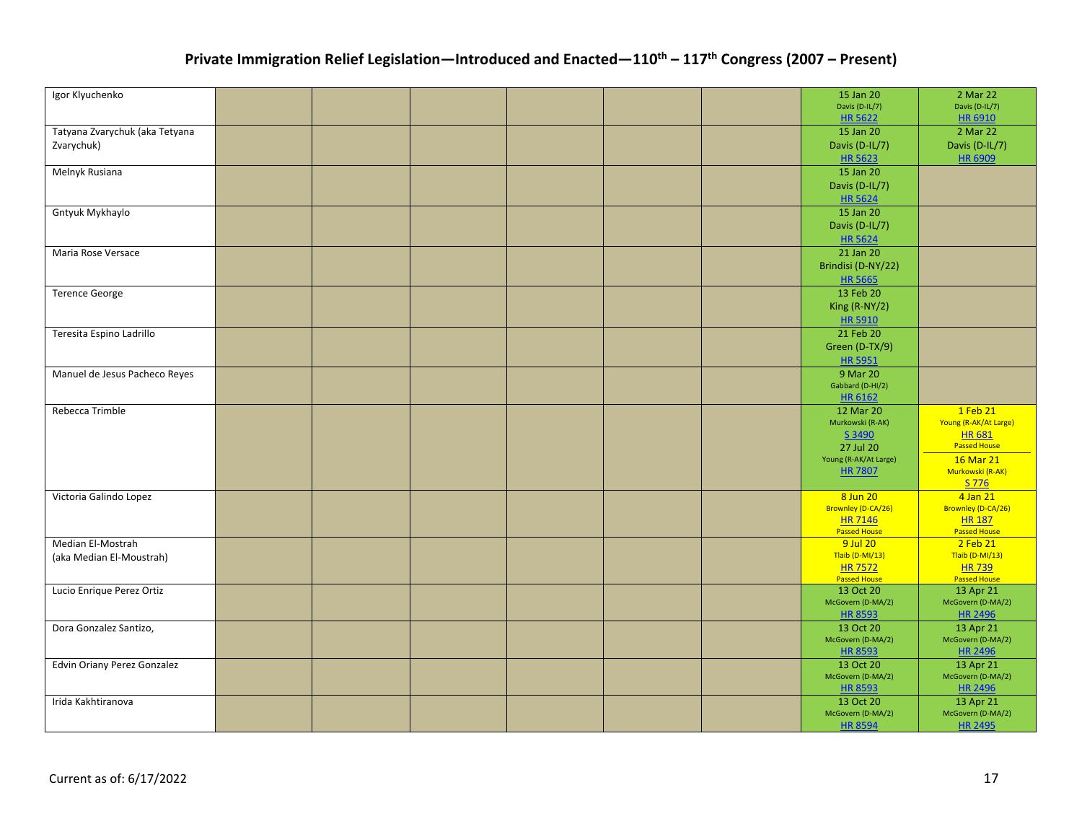| Igor Klyuchenko                |  |  |  | 15 Jan 20                        | 2 Mar 22                          |
|--------------------------------|--|--|--|----------------------------------|-----------------------------------|
|                                |  |  |  | Davis (D-IL/7)                   | Davis (D-IL/7)                    |
|                                |  |  |  | <b>HR 5622</b>                   | HR 6910                           |
| Tatyana Zvarychuk (aka Tetyana |  |  |  | 15 Jan 20                        | 2 Mar 22                          |
| Zvarychuk)                     |  |  |  | Davis (D-IL/7)                   | Davis (D-IL/7)                    |
|                                |  |  |  | HR 5623                          | HR 6909                           |
| Melnyk Rusiana                 |  |  |  | 15 Jan 20                        |                                   |
|                                |  |  |  | Davis (D-IL/7)                   |                                   |
|                                |  |  |  | <b>HR 5624</b>                   |                                   |
| Gntyuk Mykhaylo                |  |  |  | 15 Jan 20                        |                                   |
|                                |  |  |  | Davis (D-IL/7)                   |                                   |
|                                |  |  |  | <b>HR 5624</b>                   |                                   |
| Maria Rose Versace             |  |  |  | 21 Jan 20                        |                                   |
|                                |  |  |  | Brindisi (D-NY/22)               |                                   |
|                                |  |  |  | <b>HR 5665</b>                   |                                   |
| <b>Terence George</b>          |  |  |  | 13 Feb 20                        |                                   |
|                                |  |  |  | King (R-NY/2)                    |                                   |
|                                |  |  |  | <b>HR 5910</b>                   |                                   |
|                                |  |  |  |                                  |                                   |
| Teresita Espino Ladrillo       |  |  |  | 21 Feb 20                        |                                   |
|                                |  |  |  | Green (D-TX/9)                   |                                   |
|                                |  |  |  | <b>HR 5951</b>                   |                                   |
| Manuel de Jesus Pacheco Reyes  |  |  |  | 9 Mar 20                         |                                   |
|                                |  |  |  | Gabbard (D-HI/2)<br>HR 6162      |                                   |
|                                |  |  |  |                                  |                                   |
| Rebecca Trimble                |  |  |  | 12 Mar 20<br>Murkowski (R-AK)    | 1 Feb 21<br>Young (R-AK/At Large) |
|                                |  |  |  | S 3490                           | <b>HR681</b>                      |
|                                |  |  |  | 27 Jul 20                        | <b>Passed House</b>               |
|                                |  |  |  | Young (R-AK/At Large)            | 16 Mar 21                         |
|                                |  |  |  | <b>HR 7807</b>                   | Murkowski (R-AK)                  |
|                                |  |  |  |                                  | S 776                             |
| Victoria Galindo Lopez         |  |  |  | 8 Jun 20                         | 4 Jan 21                          |
|                                |  |  |  | Brownley (D-CA/26)               | Brownley (D-CA/26)                |
|                                |  |  |  | <b>HR 7146</b>                   | <b>HR 187</b>                     |
|                                |  |  |  | <b>Passed House</b>              | <b>Passed House</b>               |
| Median El-Mostrah              |  |  |  | 9 Jul 20                         | 2 Feb 21                          |
| (aka Median El-Moustrah)       |  |  |  | Tlaib (D-MI/13)                  | Tlaib (D-MI/13)                   |
|                                |  |  |  | <b>HR 7572</b>                   | <b>HR739</b>                      |
| Lucio Enrique Perez Ortiz      |  |  |  | <b>Passed House</b><br>13 Oct 20 | <b>Passed House</b><br>13 Apr 21  |
|                                |  |  |  | McGovern (D-MA/2)                | McGovern (D-MA/2)                 |
|                                |  |  |  | <b>HR 8593</b>                   | HR 2496                           |
| Dora Gonzalez Santizo,         |  |  |  | 13 Oct 20                        | 13 Apr 21                         |
|                                |  |  |  | McGovern (D-MA/2)                | McGovern (D-MA/2)                 |
|                                |  |  |  | <b>HR 8593</b>                   | HR 2496                           |
| Edvin Oriany Perez Gonzalez    |  |  |  | 13 Oct 20                        | 13 Apr 21                         |
|                                |  |  |  | McGovern (D-MA/2)                | McGovern (D-MA/2)                 |
|                                |  |  |  | <b>HR 8593</b>                   | HR 2496                           |
| Irida Kakhtiranova             |  |  |  | 13 Oct 20                        | 13 Apr 21                         |
|                                |  |  |  | McGovern (D-MA/2)                | McGovern (D-MA/2)                 |
|                                |  |  |  | <b>HR 8594</b>                   | <b>HR 2495</b>                    |